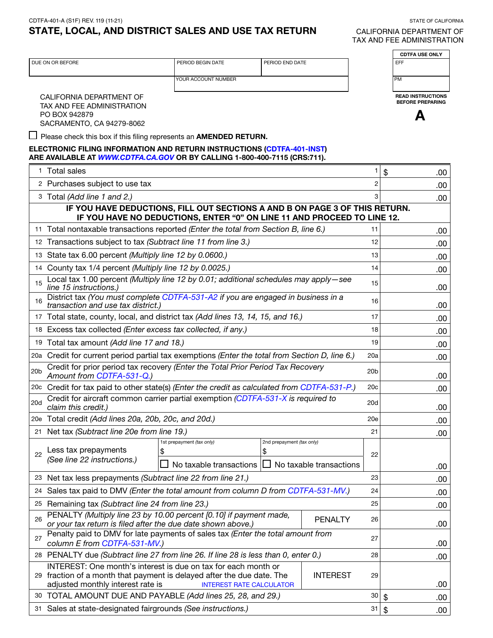TAX AND FEE ADMINISTRATION

| CDTFA-401-A (S1F) REV. 119 (11-21)                  | STATE OF CALIFORNIA               |
|-----------------------------------------------------|-----------------------------------|
| STATE, LOCAL, AND DISTRICT SALES AND USE TAX RETURN | CALIFORNIA DEPARTMENT OF          |
|                                                     | <b>TAV AND FEE ADMINICTDATION</b> |

| DUE ON OR BEFORE<br>PERIOD BEGIN DATE<br>PERIOD END DATE<br>EFF<br>YOUR ACCOUNT NUMBER<br><b>PM</b><br><b>READ INSTRUCTIONS</b><br>CALIFORNIA DEPARTMENT OF<br><b>BEFORE PREPARING</b><br>TAX AND FEE ADMINISTRATION<br>PO BOX 942879<br>Δ<br>SACRAMENTO, CA 94279-8062<br>$\Box$ Please check this box if this filing represents an <b>AMENDED RETURN.</b><br>ELECTRONIC FILING INFORMATION AND RETURN INSTRUCTIONS (CDTFA-401-INST)<br>ARE AVAILABLE AT <i>WWW.CDTFA.CA.GOV</i> OR BY CALLING 1-800-400-7115 (CRS:711).<br>1 Total sales<br>1<br>\$<br>.00<br>2 Purchases subject to use tax<br>2<br>.00<br>3 Total (Add line 1 and 2.)<br>3<br>.00<br>IF YOU HAVE DEDUCTIONS, FILL OUT SECTIONS A AND B ON PAGE 3 OF THIS RETURN.<br>IF YOU HAVE NO DEDUCTIONS, ENTER "0" ON LINE 11 AND PROCEED TO LINE 12.<br>11 Total nontaxable transactions reported (Enter the total from Section B, line 6.)<br>11<br>.00<br>12 Transactions subject to tax (Subtract line 11 from line 3.)<br>12<br>.00<br>13 State tax 6.00 percent (Multiply line 12 by 0.0600.)<br>13<br>.00<br>14 County tax 1/4 percent (Multiply line 12 by 0.0025.)<br>14<br>.00<br>Local tax 1.00 percent (Multiply line 12 by 0.01; additional schedules may apply-see<br>15<br>15<br>line 15 instructions.)<br>.00<br>District tax (You must complete CDTFA-531-A2 if you are engaged in business in a<br>16<br>16<br>transaction and use tax district.)<br>.00<br>17 Total state, county, local, and district tax (Add lines 13, 14, 15, and 16.)<br>17<br>.00<br>18 Excess tax collected (Enter excess tax collected, if any.)<br>18<br>.00<br>19 Total tax amount (Add line 17 and 18.)<br>19<br>.00<br>20a Credit for current period partial tax exemptions (Enter the total from Section D, line 6.)<br>20a<br>.00<br>Credit for prior period tax recovery (Enter the Total Prior Period Tax Recovery<br>20 <sub>b</sub><br>20 <sub>b</sub><br>Amount from CDTFA-531-Q.)<br>.00<br>20c Credit for tax paid to other state(s) (Enter the credit as calculated from CDTFA-531-P.)<br>20c<br>.00<br>Credit for aircraft common carrier partial exemption (CDTFA-531-X is required to<br>20d<br>20d<br>claim this credit.)<br>20e Total credit (Add lines 20a, 20b, 20c, and 20d.)<br>20e<br>.00<br>21 Net tax (Subtract line 20e from line 19.)<br>21<br>.00<br>1st prepayment (tax only)<br>2nd prepayment (tax only)<br>Less tax prepayments<br>\$<br>\$<br>22<br>22<br>(See line 22 instructions.)<br>No taxable transactions<br>No taxable transactions<br>.00<br>23 Net tax less prepayments (Subtract line 22 from line 21.)<br>23<br>.00<br>Sales tax paid to DMV (Enter the total amount from column D from CDTFA-531-MV.)<br>24<br>24<br>.00<br>25 Remaining tax (Subtract line 24 from line 23.)<br>25<br>.00<br>PENALTY (Multiply line 23 by 10.00 percent [0.10] if payment made,<br><b>PENALTY</b><br>26<br>26<br>or your tax return is filed after the due date shown above.)<br>.00<br>Penalty paid to DMV for late payments of sales tax (Enter the total amount from<br>27<br>27<br>column E from CDTFA-531-MV.)<br>.00<br>28 PENALTY due (Subtract line 27 from line 26. If line 28 is less than 0, enter 0.)<br>28<br>.00<br>INTEREST: One month's interest is due on tax for each month or<br>29 fraction of a month that payment is delayed after the due date. The<br><b>INTEREST</b><br>29<br>adjusted monthly interest rate is<br><b>INTEREST RATE CALCULATOR</b><br>.00<br>30 TOTAL AMOUNT DUE AND PAYABLE (Add lines 25, 28, and 29.)<br>30<br>\$<br>.00<br>31 Sales at state-designated fairgrounds (See instructions.)<br>31<br>\$<br>.00 |  |  |  | <b>CDTFA USE ONLY</b> |
|----------------------------------------------------------------------------------------------------------------------------------------------------------------------------------------------------------------------------------------------------------------------------------------------------------------------------------------------------------------------------------------------------------------------------------------------------------------------------------------------------------------------------------------------------------------------------------------------------------------------------------------------------------------------------------------------------------------------------------------------------------------------------------------------------------------------------------------------------------------------------------------------------------------------------------------------------------------------------------------------------------------------------------------------------------------------------------------------------------------------------------------------------------------------------------------------------------------------------------------------------------------------------------------------------------------------------------------------------------------------------------------------------------------------------------------------------------------------------------------------------------------------------------------------------------------------------------------------------------------------------------------------------------------------------------------------------------------------------------------------------------------------------------------------------------------------------------------------------------------------------------------------------------------------------------------------------------------------------------------------------------------------------------------------------------------------------------------------------------------------------------------------------------------------------------------------------------------------------------------------------------------------------------------------------------------------------------------------------------------------------------------------------------------------------------------------------------------------------------------------------------------------------------------------------------------------------------------------------------------------------------------------------------------------------------------------------------------------------------------------------------------------------------------------------------------------------------------------------------------------------------------------------------------------------------------------------------------------------------------------------------------------------------------------------------------------------------------------------------------------------------------------------------------------------------------------------------------------------------------------------------------------------------------------------------------------------------------------------------------------------------------------------------------------------------------------------------------------------------------------------------------------------------------------------------------------------------------------------------------------------------------------|--|--|--|-----------------------|
|                                                                                                                                                                                                                                                                                                                                                                                                                                                                                                                                                                                                                                                                                                                                                                                                                                                                                                                                                                                                                                                                                                                                                                                                                                                                                                                                                                                                                                                                                                                                                                                                                                                                                                                                                                                                                                                                                                                                                                                                                                                                                                                                                                                                                                                                                                                                                                                                                                                                                                                                                                                                                                                                                                                                                                                                                                                                                                                                                                                                                                                                                                                                                                                                                                                                                                                                                                                                                                                                                                                                                                                                                                              |  |  |  |                       |
|                                                                                                                                                                                                                                                                                                                                                                                                                                                                                                                                                                                                                                                                                                                                                                                                                                                                                                                                                                                                                                                                                                                                                                                                                                                                                                                                                                                                                                                                                                                                                                                                                                                                                                                                                                                                                                                                                                                                                                                                                                                                                                                                                                                                                                                                                                                                                                                                                                                                                                                                                                                                                                                                                                                                                                                                                                                                                                                                                                                                                                                                                                                                                                                                                                                                                                                                                                                                                                                                                                                                                                                                                                              |  |  |  |                       |
|                                                                                                                                                                                                                                                                                                                                                                                                                                                                                                                                                                                                                                                                                                                                                                                                                                                                                                                                                                                                                                                                                                                                                                                                                                                                                                                                                                                                                                                                                                                                                                                                                                                                                                                                                                                                                                                                                                                                                                                                                                                                                                                                                                                                                                                                                                                                                                                                                                                                                                                                                                                                                                                                                                                                                                                                                                                                                                                                                                                                                                                                                                                                                                                                                                                                                                                                                                                                                                                                                                                                                                                                                                              |  |  |  |                       |
|                                                                                                                                                                                                                                                                                                                                                                                                                                                                                                                                                                                                                                                                                                                                                                                                                                                                                                                                                                                                                                                                                                                                                                                                                                                                                                                                                                                                                                                                                                                                                                                                                                                                                                                                                                                                                                                                                                                                                                                                                                                                                                                                                                                                                                                                                                                                                                                                                                                                                                                                                                                                                                                                                                                                                                                                                                                                                                                                                                                                                                                                                                                                                                                                                                                                                                                                                                                                                                                                                                                                                                                                                                              |  |  |  |                       |
|                                                                                                                                                                                                                                                                                                                                                                                                                                                                                                                                                                                                                                                                                                                                                                                                                                                                                                                                                                                                                                                                                                                                                                                                                                                                                                                                                                                                                                                                                                                                                                                                                                                                                                                                                                                                                                                                                                                                                                                                                                                                                                                                                                                                                                                                                                                                                                                                                                                                                                                                                                                                                                                                                                                                                                                                                                                                                                                                                                                                                                                                                                                                                                                                                                                                                                                                                                                                                                                                                                                                                                                                                                              |  |  |  |                       |
|                                                                                                                                                                                                                                                                                                                                                                                                                                                                                                                                                                                                                                                                                                                                                                                                                                                                                                                                                                                                                                                                                                                                                                                                                                                                                                                                                                                                                                                                                                                                                                                                                                                                                                                                                                                                                                                                                                                                                                                                                                                                                                                                                                                                                                                                                                                                                                                                                                                                                                                                                                                                                                                                                                                                                                                                                                                                                                                                                                                                                                                                                                                                                                                                                                                                                                                                                                                                                                                                                                                                                                                                                                              |  |  |  |                       |
|                                                                                                                                                                                                                                                                                                                                                                                                                                                                                                                                                                                                                                                                                                                                                                                                                                                                                                                                                                                                                                                                                                                                                                                                                                                                                                                                                                                                                                                                                                                                                                                                                                                                                                                                                                                                                                                                                                                                                                                                                                                                                                                                                                                                                                                                                                                                                                                                                                                                                                                                                                                                                                                                                                                                                                                                                                                                                                                                                                                                                                                                                                                                                                                                                                                                                                                                                                                                                                                                                                                                                                                                                                              |  |  |  |                       |
|                                                                                                                                                                                                                                                                                                                                                                                                                                                                                                                                                                                                                                                                                                                                                                                                                                                                                                                                                                                                                                                                                                                                                                                                                                                                                                                                                                                                                                                                                                                                                                                                                                                                                                                                                                                                                                                                                                                                                                                                                                                                                                                                                                                                                                                                                                                                                                                                                                                                                                                                                                                                                                                                                                                                                                                                                                                                                                                                                                                                                                                                                                                                                                                                                                                                                                                                                                                                                                                                                                                                                                                                                                              |  |  |  |                       |
|                                                                                                                                                                                                                                                                                                                                                                                                                                                                                                                                                                                                                                                                                                                                                                                                                                                                                                                                                                                                                                                                                                                                                                                                                                                                                                                                                                                                                                                                                                                                                                                                                                                                                                                                                                                                                                                                                                                                                                                                                                                                                                                                                                                                                                                                                                                                                                                                                                                                                                                                                                                                                                                                                                                                                                                                                                                                                                                                                                                                                                                                                                                                                                                                                                                                                                                                                                                                                                                                                                                                                                                                                                              |  |  |  |                       |
|                                                                                                                                                                                                                                                                                                                                                                                                                                                                                                                                                                                                                                                                                                                                                                                                                                                                                                                                                                                                                                                                                                                                                                                                                                                                                                                                                                                                                                                                                                                                                                                                                                                                                                                                                                                                                                                                                                                                                                                                                                                                                                                                                                                                                                                                                                                                                                                                                                                                                                                                                                                                                                                                                                                                                                                                                                                                                                                                                                                                                                                                                                                                                                                                                                                                                                                                                                                                                                                                                                                                                                                                                                              |  |  |  |                       |
|                                                                                                                                                                                                                                                                                                                                                                                                                                                                                                                                                                                                                                                                                                                                                                                                                                                                                                                                                                                                                                                                                                                                                                                                                                                                                                                                                                                                                                                                                                                                                                                                                                                                                                                                                                                                                                                                                                                                                                                                                                                                                                                                                                                                                                                                                                                                                                                                                                                                                                                                                                                                                                                                                                                                                                                                                                                                                                                                                                                                                                                                                                                                                                                                                                                                                                                                                                                                                                                                                                                                                                                                                                              |  |  |  |                       |
|                                                                                                                                                                                                                                                                                                                                                                                                                                                                                                                                                                                                                                                                                                                                                                                                                                                                                                                                                                                                                                                                                                                                                                                                                                                                                                                                                                                                                                                                                                                                                                                                                                                                                                                                                                                                                                                                                                                                                                                                                                                                                                                                                                                                                                                                                                                                                                                                                                                                                                                                                                                                                                                                                                                                                                                                                                                                                                                                                                                                                                                                                                                                                                                                                                                                                                                                                                                                                                                                                                                                                                                                                                              |  |  |  |                       |
|                                                                                                                                                                                                                                                                                                                                                                                                                                                                                                                                                                                                                                                                                                                                                                                                                                                                                                                                                                                                                                                                                                                                                                                                                                                                                                                                                                                                                                                                                                                                                                                                                                                                                                                                                                                                                                                                                                                                                                                                                                                                                                                                                                                                                                                                                                                                                                                                                                                                                                                                                                                                                                                                                                                                                                                                                                                                                                                                                                                                                                                                                                                                                                                                                                                                                                                                                                                                                                                                                                                                                                                                                                              |  |  |  |                       |
|                                                                                                                                                                                                                                                                                                                                                                                                                                                                                                                                                                                                                                                                                                                                                                                                                                                                                                                                                                                                                                                                                                                                                                                                                                                                                                                                                                                                                                                                                                                                                                                                                                                                                                                                                                                                                                                                                                                                                                                                                                                                                                                                                                                                                                                                                                                                                                                                                                                                                                                                                                                                                                                                                                                                                                                                                                                                                                                                                                                                                                                                                                                                                                                                                                                                                                                                                                                                                                                                                                                                                                                                                                              |  |  |  |                       |
|                                                                                                                                                                                                                                                                                                                                                                                                                                                                                                                                                                                                                                                                                                                                                                                                                                                                                                                                                                                                                                                                                                                                                                                                                                                                                                                                                                                                                                                                                                                                                                                                                                                                                                                                                                                                                                                                                                                                                                                                                                                                                                                                                                                                                                                                                                                                                                                                                                                                                                                                                                                                                                                                                                                                                                                                                                                                                                                                                                                                                                                                                                                                                                                                                                                                                                                                                                                                                                                                                                                                                                                                                                              |  |  |  |                       |
|                                                                                                                                                                                                                                                                                                                                                                                                                                                                                                                                                                                                                                                                                                                                                                                                                                                                                                                                                                                                                                                                                                                                                                                                                                                                                                                                                                                                                                                                                                                                                                                                                                                                                                                                                                                                                                                                                                                                                                                                                                                                                                                                                                                                                                                                                                                                                                                                                                                                                                                                                                                                                                                                                                                                                                                                                                                                                                                                                                                                                                                                                                                                                                                                                                                                                                                                                                                                                                                                                                                                                                                                                                              |  |  |  |                       |
|                                                                                                                                                                                                                                                                                                                                                                                                                                                                                                                                                                                                                                                                                                                                                                                                                                                                                                                                                                                                                                                                                                                                                                                                                                                                                                                                                                                                                                                                                                                                                                                                                                                                                                                                                                                                                                                                                                                                                                                                                                                                                                                                                                                                                                                                                                                                                                                                                                                                                                                                                                                                                                                                                                                                                                                                                                                                                                                                                                                                                                                                                                                                                                                                                                                                                                                                                                                                                                                                                                                                                                                                                                              |  |  |  |                       |
|                                                                                                                                                                                                                                                                                                                                                                                                                                                                                                                                                                                                                                                                                                                                                                                                                                                                                                                                                                                                                                                                                                                                                                                                                                                                                                                                                                                                                                                                                                                                                                                                                                                                                                                                                                                                                                                                                                                                                                                                                                                                                                                                                                                                                                                                                                                                                                                                                                                                                                                                                                                                                                                                                                                                                                                                                                                                                                                                                                                                                                                                                                                                                                                                                                                                                                                                                                                                                                                                                                                                                                                                                                              |  |  |  |                       |
|                                                                                                                                                                                                                                                                                                                                                                                                                                                                                                                                                                                                                                                                                                                                                                                                                                                                                                                                                                                                                                                                                                                                                                                                                                                                                                                                                                                                                                                                                                                                                                                                                                                                                                                                                                                                                                                                                                                                                                                                                                                                                                                                                                                                                                                                                                                                                                                                                                                                                                                                                                                                                                                                                                                                                                                                                                                                                                                                                                                                                                                                                                                                                                                                                                                                                                                                                                                                                                                                                                                                                                                                                                              |  |  |  |                       |
|                                                                                                                                                                                                                                                                                                                                                                                                                                                                                                                                                                                                                                                                                                                                                                                                                                                                                                                                                                                                                                                                                                                                                                                                                                                                                                                                                                                                                                                                                                                                                                                                                                                                                                                                                                                                                                                                                                                                                                                                                                                                                                                                                                                                                                                                                                                                                                                                                                                                                                                                                                                                                                                                                                                                                                                                                                                                                                                                                                                                                                                                                                                                                                                                                                                                                                                                                                                                                                                                                                                                                                                                                                              |  |  |  |                       |
|                                                                                                                                                                                                                                                                                                                                                                                                                                                                                                                                                                                                                                                                                                                                                                                                                                                                                                                                                                                                                                                                                                                                                                                                                                                                                                                                                                                                                                                                                                                                                                                                                                                                                                                                                                                                                                                                                                                                                                                                                                                                                                                                                                                                                                                                                                                                                                                                                                                                                                                                                                                                                                                                                                                                                                                                                                                                                                                                                                                                                                                                                                                                                                                                                                                                                                                                                                                                                                                                                                                                                                                                                                              |  |  |  |                       |
|                                                                                                                                                                                                                                                                                                                                                                                                                                                                                                                                                                                                                                                                                                                                                                                                                                                                                                                                                                                                                                                                                                                                                                                                                                                                                                                                                                                                                                                                                                                                                                                                                                                                                                                                                                                                                                                                                                                                                                                                                                                                                                                                                                                                                                                                                                                                                                                                                                                                                                                                                                                                                                                                                                                                                                                                                                                                                                                                                                                                                                                                                                                                                                                                                                                                                                                                                                                                                                                                                                                                                                                                                                              |  |  |  |                       |
|                                                                                                                                                                                                                                                                                                                                                                                                                                                                                                                                                                                                                                                                                                                                                                                                                                                                                                                                                                                                                                                                                                                                                                                                                                                                                                                                                                                                                                                                                                                                                                                                                                                                                                                                                                                                                                                                                                                                                                                                                                                                                                                                                                                                                                                                                                                                                                                                                                                                                                                                                                                                                                                                                                                                                                                                                                                                                                                                                                                                                                                                                                                                                                                                                                                                                                                                                                                                                                                                                                                                                                                                                                              |  |  |  |                       |
|                                                                                                                                                                                                                                                                                                                                                                                                                                                                                                                                                                                                                                                                                                                                                                                                                                                                                                                                                                                                                                                                                                                                                                                                                                                                                                                                                                                                                                                                                                                                                                                                                                                                                                                                                                                                                                                                                                                                                                                                                                                                                                                                                                                                                                                                                                                                                                                                                                                                                                                                                                                                                                                                                                                                                                                                                                                                                                                                                                                                                                                                                                                                                                                                                                                                                                                                                                                                                                                                                                                                                                                                                                              |  |  |  |                       |
|                                                                                                                                                                                                                                                                                                                                                                                                                                                                                                                                                                                                                                                                                                                                                                                                                                                                                                                                                                                                                                                                                                                                                                                                                                                                                                                                                                                                                                                                                                                                                                                                                                                                                                                                                                                                                                                                                                                                                                                                                                                                                                                                                                                                                                                                                                                                                                                                                                                                                                                                                                                                                                                                                                                                                                                                                                                                                                                                                                                                                                                                                                                                                                                                                                                                                                                                                                                                                                                                                                                                                                                                                                              |  |  |  |                       |
|                                                                                                                                                                                                                                                                                                                                                                                                                                                                                                                                                                                                                                                                                                                                                                                                                                                                                                                                                                                                                                                                                                                                                                                                                                                                                                                                                                                                                                                                                                                                                                                                                                                                                                                                                                                                                                                                                                                                                                                                                                                                                                                                                                                                                                                                                                                                                                                                                                                                                                                                                                                                                                                                                                                                                                                                                                                                                                                                                                                                                                                                                                                                                                                                                                                                                                                                                                                                                                                                                                                                                                                                                                              |  |  |  | .00.                  |
|                                                                                                                                                                                                                                                                                                                                                                                                                                                                                                                                                                                                                                                                                                                                                                                                                                                                                                                                                                                                                                                                                                                                                                                                                                                                                                                                                                                                                                                                                                                                                                                                                                                                                                                                                                                                                                                                                                                                                                                                                                                                                                                                                                                                                                                                                                                                                                                                                                                                                                                                                                                                                                                                                                                                                                                                                                                                                                                                                                                                                                                                                                                                                                                                                                                                                                                                                                                                                                                                                                                                                                                                                                              |  |  |  |                       |
|                                                                                                                                                                                                                                                                                                                                                                                                                                                                                                                                                                                                                                                                                                                                                                                                                                                                                                                                                                                                                                                                                                                                                                                                                                                                                                                                                                                                                                                                                                                                                                                                                                                                                                                                                                                                                                                                                                                                                                                                                                                                                                                                                                                                                                                                                                                                                                                                                                                                                                                                                                                                                                                                                                                                                                                                                                                                                                                                                                                                                                                                                                                                                                                                                                                                                                                                                                                                                                                                                                                                                                                                                                              |  |  |  |                       |
|                                                                                                                                                                                                                                                                                                                                                                                                                                                                                                                                                                                                                                                                                                                                                                                                                                                                                                                                                                                                                                                                                                                                                                                                                                                                                                                                                                                                                                                                                                                                                                                                                                                                                                                                                                                                                                                                                                                                                                                                                                                                                                                                                                                                                                                                                                                                                                                                                                                                                                                                                                                                                                                                                                                                                                                                                                                                                                                                                                                                                                                                                                                                                                                                                                                                                                                                                                                                                                                                                                                                                                                                                                              |  |  |  |                       |
|                                                                                                                                                                                                                                                                                                                                                                                                                                                                                                                                                                                                                                                                                                                                                                                                                                                                                                                                                                                                                                                                                                                                                                                                                                                                                                                                                                                                                                                                                                                                                                                                                                                                                                                                                                                                                                                                                                                                                                                                                                                                                                                                                                                                                                                                                                                                                                                                                                                                                                                                                                                                                                                                                                                                                                                                                                                                                                                                                                                                                                                                                                                                                                                                                                                                                                                                                                                                                                                                                                                                                                                                                                              |  |  |  |                       |
|                                                                                                                                                                                                                                                                                                                                                                                                                                                                                                                                                                                                                                                                                                                                                                                                                                                                                                                                                                                                                                                                                                                                                                                                                                                                                                                                                                                                                                                                                                                                                                                                                                                                                                                                                                                                                                                                                                                                                                                                                                                                                                                                                                                                                                                                                                                                                                                                                                                                                                                                                                                                                                                                                                                                                                                                                                                                                                                                                                                                                                                                                                                                                                                                                                                                                                                                                                                                                                                                                                                                                                                                                                              |  |  |  |                       |
|                                                                                                                                                                                                                                                                                                                                                                                                                                                                                                                                                                                                                                                                                                                                                                                                                                                                                                                                                                                                                                                                                                                                                                                                                                                                                                                                                                                                                                                                                                                                                                                                                                                                                                                                                                                                                                                                                                                                                                                                                                                                                                                                                                                                                                                                                                                                                                                                                                                                                                                                                                                                                                                                                                                                                                                                                                                                                                                                                                                                                                                                                                                                                                                                                                                                                                                                                                                                                                                                                                                                                                                                                                              |  |  |  |                       |
|                                                                                                                                                                                                                                                                                                                                                                                                                                                                                                                                                                                                                                                                                                                                                                                                                                                                                                                                                                                                                                                                                                                                                                                                                                                                                                                                                                                                                                                                                                                                                                                                                                                                                                                                                                                                                                                                                                                                                                                                                                                                                                                                                                                                                                                                                                                                                                                                                                                                                                                                                                                                                                                                                                                                                                                                                                                                                                                                                                                                                                                                                                                                                                                                                                                                                                                                                                                                                                                                                                                                                                                                                                              |  |  |  |                       |
|                                                                                                                                                                                                                                                                                                                                                                                                                                                                                                                                                                                                                                                                                                                                                                                                                                                                                                                                                                                                                                                                                                                                                                                                                                                                                                                                                                                                                                                                                                                                                                                                                                                                                                                                                                                                                                                                                                                                                                                                                                                                                                                                                                                                                                                                                                                                                                                                                                                                                                                                                                                                                                                                                                                                                                                                                                                                                                                                                                                                                                                                                                                                                                                                                                                                                                                                                                                                                                                                                                                                                                                                                                              |  |  |  |                       |
|                                                                                                                                                                                                                                                                                                                                                                                                                                                                                                                                                                                                                                                                                                                                                                                                                                                                                                                                                                                                                                                                                                                                                                                                                                                                                                                                                                                                                                                                                                                                                                                                                                                                                                                                                                                                                                                                                                                                                                                                                                                                                                                                                                                                                                                                                                                                                                                                                                                                                                                                                                                                                                                                                                                                                                                                                                                                                                                                                                                                                                                                                                                                                                                                                                                                                                                                                                                                                                                                                                                                                                                                                                              |  |  |  |                       |
|                                                                                                                                                                                                                                                                                                                                                                                                                                                                                                                                                                                                                                                                                                                                                                                                                                                                                                                                                                                                                                                                                                                                                                                                                                                                                                                                                                                                                                                                                                                                                                                                                                                                                                                                                                                                                                                                                                                                                                                                                                                                                                                                                                                                                                                                                                                                                                                                                                                                                                                                                                                                                                                                                                                                                                                                                                                                                                                                                                                                                                                                                                                                                                                                                                                                                                                                                                                                                                                                                                                                                                                                                                              |  |  |  |                       |
|                                                                                                                                                                                                                                                                                                                                                                                                                                                                                                                                                                                                                                                                                                                                                                                                                                                                                                                                                                                                                                                                                                                                                                                                                                                                                                                                                                                                                                                                                                                                                                                                                                                                                                                                                                                                                                                                                                                                                                                                                                                                                                                                                                                                                                                                                                                                                                                                                                                                                                                                                                                                                                                                                                                                                                                                                                                                                                                                                                                                                                                                                                                                                                                                                                                                                                                                                                                                                                                                                                                                                                                                                                              |  |  |  |                       |
|                                                                                                                                                                                                                                                                                                                                                                                                                                                                                                                                                                                                                                                                                                                                                                                                                                                                                                                                                                                                                                                                                                                                                                                                                                                                                                                                                                                                                                                                                                                                                                                                                                                                                                                                                                                                                                                                                                                                                                                                                                                                                                                                                                                                                                                                                                                                                                                                                                                                                                                                                                                                                                                                                                                                                                                                                                                                                                                                                                                                                                                                                                                                                                                                                                                                                                                                                                                                                                                                                                                                                                                                                                              |  |  |  |                       |
|                                                                                                                                                                                                                                                                                                                                                                                                                                                                                                                                                                                                                                                                                                                                                                                                                                                                                                                                                                                                                                                                                                                                                                                                                                                                                                                                                                                                                                                                                                                                                                                                                                                                                                                                                                                                                                                                                                                                                                                                                                                                                                                                                                                                                                                                                                                                                                                                                                                                                                                                                                                                                                                                                                                                                                                                                                                                                                                                                                                                                                                                                                                                                                                                                                                                                                                                                                                                                                                                                                                                                                                                                                              |  |  |  |                       |
|                                                                                                                                                                                                                                                                                                                                                                                                                                                                                                                                                                                                                                                                                                                                                                                                                                                                                                                                                                                                                                                                                                                                                                                                                                                                                                                                                                                                                                                                                                                                                                                                                                                                                                                                                                                                                                                                                                                                                                                                                                                                                                                                                                                                                                                                                                                                                                                                                                                                                                                                                                                                                                                                                                                                                                                                                                                                                                                                                                                                                                                                                                                                                                                                                                                                                                                                                                                                                                                                                                                                                                                                                                              |  |  |  |                       |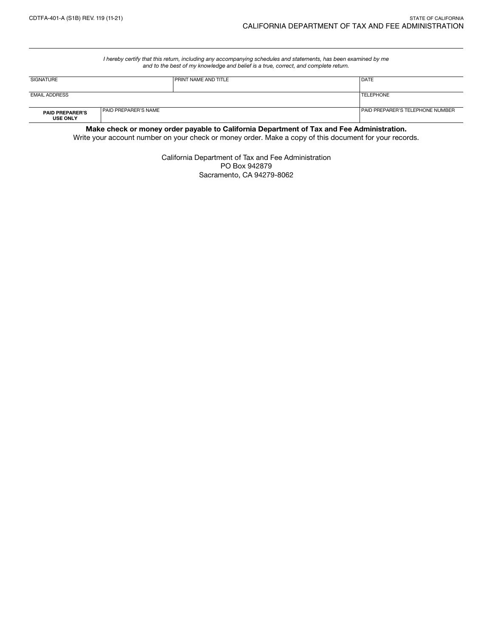*I hereby certify that this return, including any accompanying schedules and statements, has been examined by me and to the best of my knowledge and belief is a true, correct, and complete return.*

| <b>SIGNATURE</b>                          |                             | <b>PRINT NAME AND TITLE</b> | <b>DATE</b>                             |
|-------------------------------------------|-----------------------------|-----------------------------|-----------------------------------------|
| <b>EMAIL ADDRESS</b>                      |                             |                             | <b>TELEPHONE</b>                        |
| <b>PAID PREPARER'S</b><br><b>USE ONLY</b> | <b>PAID PREPARER'S NAME</b> |                             | <b>PAID PREPARER'S TELEPHONE NUMBER</b> |

Make check or money order payable to California Department of Tax and Fee Administration.

Write your account number on your check or money order. Make a copy of this document for your records.

California Department of Tax and Fee Administration PO Box 942879 Sacramento, CA 94279-8062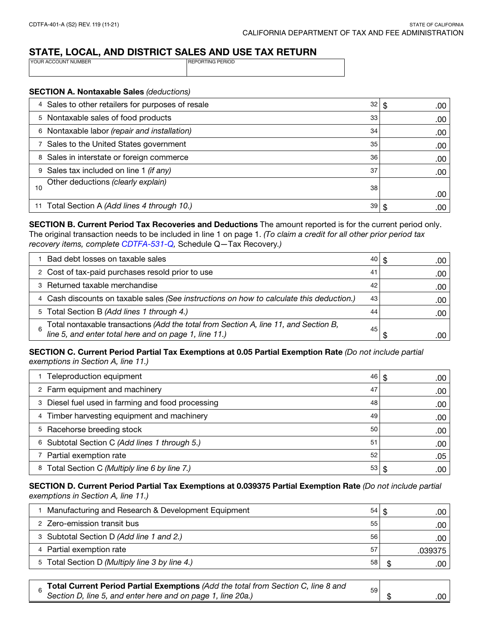# STATE, LOCAL, AND DISTRICT SALES AND USE TAX RETURN

| <b>IYOUR ACCOUNT NUMBER</b> | <b>IREPORTING PERIOD</b> |
|-----------------------------|--------------------------|
|                             |                          |
|                             |                          |

#### SECTION A. Nontaxable Sales *(deductions)*

| 4 Sales to other retailers for purposes of resale<br>32 | .00<br>\$. |
|---------------------------------------------------------|------------|
| 5 Nontaxable sales of food products<br>33               | .00        |
| 6 Nontaxable labor (repair and installation)<br>34      | .00        |
| 7 Sales to the United States government<br>35           | .00        |
| 8 Sales in interstate or foreign commerce<br>36         | .00        |
| Sales tax included on line 1 (if any)<br>37             | .00        |
| Other deductions (clearly explain)<br>38<br>10          | .00        |
| 11 Total Section A (Add lines 4 through 10.)<br>39      | .00        |

SECTION B. Current Period Tax Recoveries and Deductions The amount reported is for the current period only. The original transaction needs to be included in line 1 on page 1. *(To claim a credit for all other prior period tax recovery items, complete [CDTFA-531-Q,](https://www.cdtfa.ca.gov/DownloadFile.ashx?path=/formspubs/cdtfa531q.pdf)* Schedule Q—Tax Recovery*.)*

| Bad debt losses on taxable sales                                                                                                           | 40 | .00 |
|--------------------------------------------------------------------------------------------------------------------------------------------|----|-----|
| 2 Cost of tax-paid purchases resold prior to use                                                                                           | 41 | .00 |
| 3 Returned taxable merchandise                                                                                                             | 42 | .00 |
| 4 Cash discounts on taxable sales (See instructions on how to calculate this deduction.)                                                   | 43 | .00 |
| 5 Total Section B (Add lines 1 through 4.)                                                                                                 | 44 | .00 |
| Total nontaxable transactions (Add the total from Section A, line 11, and Section B, line 5, and enter total here and on page 1, line 11.) | 45 |     |

## SECTION C. Current Period Partial Tax Exemptions at 0.05 Partial Exemption Rate *(Do not include partial exemptions in Section A, line 11.)*

| Teleproduction equipment<br>46                          | .00 |
|---------------------------------------------------------|-----|
| 2 Farm equipment and machinery<br>47                    | .00 |
| 3 Diesel fuel used in farming and food processing<br>48 | .00 |
| 4 Timber harvesting equipment and machinery<br>49       | .00 |
| 5 Racehorse breeding stock<br>50                        | .00 |
| Subtotal Section C (Add lines 1 through 5.)<br>51<br>6  | .00 |
| 7 Partial exemption rate<br>52                          | .05 |
| Total Section C (Multiply line 6 by line 7.)<br>53<br>8 | .00 |

### SECTION D. Current Period Partial Tax Exemptions at 0.039375 Partial Exemption Rate *(Do not include partial exemptions in Section A, line 11.)*

| Manufacturing and Research & Development Equipment | 54 l | .00     |
|----------------------------------------------------|------|---------|
| 2 Zero-emission transit bus                        | 55   | .00     |
| 3 Subtotal Section D (Add line 1 and 2.)           | 56   | .00     |
| 4 Partial exemption rate                           | 57   | .039375 |
| 5 Total Section D (Multiply line 3 by line 4.)     | 58   | .00     |

| Total Current Period Partial Exemptions (Add the total from Section C, line 8 and | 59 |       |
|-----------------------------------------------------------------------------------|----|-------|
| Section D, line 5, and enter here and on page 1, line 20a.)                       |    | ا 00. |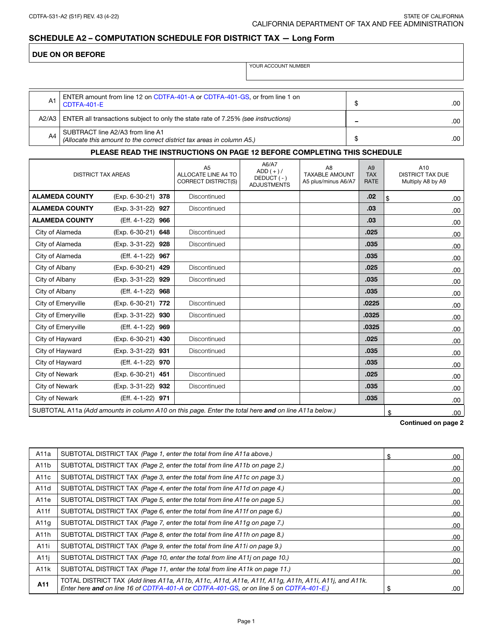## DUE ON OR BEFORE

YOUR ACCOUNT NUMBER

| A1    | ENTER amount from line 12 on CDTFA-401-A or CDTFA-401-GS, or from line 1 on<br>CDTFA-401-E                 |   |  |
|-------|------------------------------------------------------------------------------------------------------------|---|--|
| A2/A3 | ENTER all transactions subject to only the state rate of 7.25% (see instructions)                          | - |  |
| A4    | SUBTRACT line A2/A3 from line A1<br>(Allocate this amount to the correct district tax areas in column A5.) |   |  |

### PLEASE READ THE INSTRUCTIONS ON PAGE 12 BEFORE COMPLETING THIS SCHEDULE

| <b>DISTRICT TAX AREAS</b>                                                                            |                    | A <sub>5</sub><br>ALLOCATE LINE A4 TO<br>CORRECT DISTRICT(S) | A6/A7<br>$ADD (+)/$<br>DEDUCT (-)<br><b>ADJUSTMENTS</b> | A <sub>8</sub><br><b>TAXABLE AMOUNT</b><br>A5 plus/minus A6/A7 | A9<br><b>TAX</b><br><b>RATE</b> | A10<br><b>DISTRICT TAX DUE</b><br>Multiply A8 by A9 |
|------------------------------------------------------------------------------------------------------|--------------------|--------------------------------------------------------------|---------------------------------------------------------|----------------------------------------------------------------|---------------------------------|-----------------------------------------------------|
| <b>ALAMEDA COUNTY</b>                                                                                | (Exp. 6-30-21) 378 | Discontinued                                                 |                                                         |                                                                | .02                             | \$<br>.00                                           |
| <b>ALAMEDA COUNTY</b>                                                                                | (Exp. 3-31-22) 927 | Discontinued                                                 |                                                         |                                                                | .03                             | .00                                                 |
| <b>ALAMEDA COUNTY</b>                                                                                | (Eff. 4-1-22) 966  |                                                              |                                                         |                                                                | .03                             | .00                                                 |
| City of Alameda                                                                                      | (Exp. 6-30-21) 648 | Discontinued                                                 |                                                         |                                                                | .025                            | .00                                                 |
| City of Alameda                                                                                      | (Exp. 3-31-22) 928 | Discontinued                                                 |                                                         |                                                                | .035                            | .00                                                 |
| City of Alameda                                                                                      | (Eff. 4-1-22) 967  |                                                              |                                                         |                                                                | .035                            | .00                                                 |
| City of Albany                                                                                       | (Exp. 6-30-21) 429 | Discontinued                                                 |                                                         |                                                                | .025                            | .00                                                 |
| City of Albany                                                                                       | (Exp. 3-31-22) 929 | Discontinued                                                 |                                                         |                                                                | .035                            | .00                                                 |
| City of Albany                                                                                       | (Eff. 4-1-22) 968  |                                                              |                                                         |                                                                | .035                            | .00                                                 |
| City of Emeryville                                                                                   | (Exp. 6-30-21) 772 | Discontinued                                                 |                                                         |                                                                | .0225                           | .00                                                 |
| City of Emeryville                                                                                   | (Exp. 3-31-22) 930 | Discontinued                                                 |                                                         |                                                                | .0325                           | .00                                                 |
| City of Emeryville                                                                                   | (Eff. 4-1-22) 969  |                                                              |                                                         |                                                                | .0325                           | .00                                                 |
| City of Hayward                                                                                      | (Exp. 6-30-21) 430 | Discontinued                                                 |                                                         |                                                                | .025                            | .00                                                 |
| City of Hayward                                                                                      | (Exp. 3-31-22) 931 | Discontinued                                                 |                                                         |                                                                | .035                            | .00                                                 |
| City of Hayward                                                                                      | (Eff. 4-1-22) 970  |                                                              |                                                         |                                                                | .035                            | .00                                                 |
| City of Newark                                                                                       | (Exp. 6-30-21) 451 | Discontinued                                                 |                                                         |                                                                | .025                            | .00                                                 |
| City of Newark                                                                                       | (Exp. 3-31-22) 932 | Discontinued                                                 |                                                         |                                                                | .035                            | .00                                                 |
| City of Newark                                                                                       | (Eff. 4-1-22) 971  |                                                              |                                                         |                                                                | .035                            | .00                                                 |
| SUBTOTAL A11a (Add amounts in column A10 on this page. Enter the total here and on line A11a below.) |                    |                                                              |                                                         |                                                                |                                 | \$<br>.00                                           |

#### Continued on page 2

| A11a              | SUBTOTAL DISTRICT TAX (Page 1, enter the total from line A11a above.)                                                                                                                          | £. | .00  |
|-------------------|------------------------------------------------------------------------------------------------------------------------------------------------------------------------------------------------|----|------|
| A <sub>11</sub> b | SUBTOTAL DISTRICT TAX (Page 2, enter the total from line A11b on page 2.)                                                                                                                      |    | .00  |
| A <sub>11</sub> c | SUBTOTAL DISTRICT TAX (Page 3, enter the total from line A11c on page 3.)                                                                                                                      |    | .00. |
| A11d              | SUBTOTAL DISTRICT TAX (Page 4, enter the total from line A11d on page 4.)                                                                                                                      |    | .00  |
| A <sub>11e</sub>  | SUBTOTAL DISTRICT TAX (Page 5, enter the total from line A11e on page 5.)                                                                                                                      |    | .00  |
| A11f              | SUBTOTAL DISTRICT TAX (Page 6, enter the total from line A11f on page 6.)                                                                                                                      |    | .00  |
| A11q              | SUBTOTAL DISTRICT TAX (Page 7, enter the total from line A11g on page 7.)                                                                                                                      |    | .00  |
| A <sub>11</sub> h | SUBTOTAL DISTRICT TAX (Page 8, enter the total from line A11h on page 8.)                                                                                                                      |    | .00  |
| A11i              | SUBTOTAL DISTRICT TAX (Page 9, enter the total from line A11i on page 9.)                                                                                                                      |    | .00  |
| A11i              | SUBTOTAL DISTRICT TAX (Page 10, enter the total from line A11j on page 10.)                                                                                                                    |    | .00  |
| A11k              | SUBTOTAL DISTRICT TAX (Page 11, enter the total from line A11k on page 11.)                                                                                                                    |    | .00  |
| A11               | TOTAL DISTRICT TAX (Add lines A11a, A11b, A11c, A11d, A11e, A11f, A11g, A11h, A11i, A11j, and A11k.<br>Enter here and on line 16 of CDTFA-401-A or CDTFA-401-GS, or on line 5 on CDTFA-401-E.) | \$ | .00  |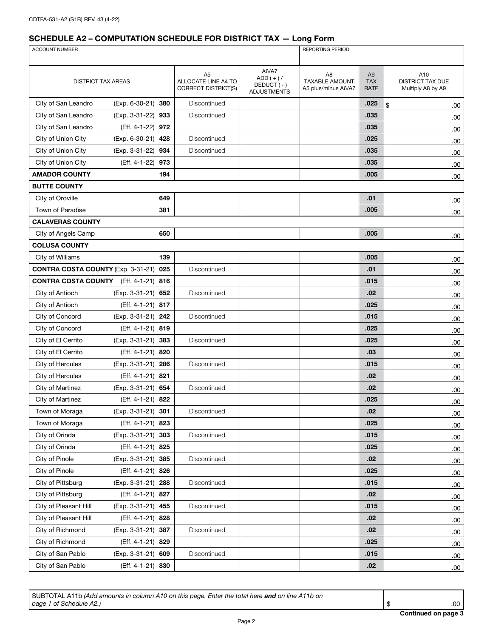| <b>ACCOUNT NUMBER</b>                        |                       |                                                                     |                                                         |                                                                |                                      | REPORTING PERIOD                                    |  |  |  |
|----------------------------------------------|-----------------------|---------------------------------------------------------------------|---------------------------------------------------------|----------------------------------------------------------------|--------------------------------------|-----------------------------------------------------|--|--|--|
|                                              |                       |                                                                     |                                                         |                                                                |                                      |                                                     |  |  |  |
| <b>DISTRICT TAX AREAS</b>                    |                       | A <sub>5</sub><br>ALLOCATE LINE A4 TO<br><b>CORRECT DISTRICT(S)</b> | A6/A7<br>$ADD (+)/$<br>DEDUCT (-)<br><b>ADJUSTMENTS</b> | A <sub>8</sub><br><b>TAXABLE AMOUNT</b><br>A5 plus/minus A6/A7 | A <sub>9</sub><br><b>TAX</b><br>RATE | A10<br><b>DISTRICT TAX DUE</b><br>Multiply A8 by A9 |  |  |  |
| City of San Leandro                          | (Exp. 6-30-21) 380    | Discontinued                                                        |                                                         |                                                                | .025                                 | \$<br>.00                                           |  |  |  |
| City of San Leandro                          | (Exp. 3-31-22) 933    | Discontinued                                                        |                                                         |                                                                | .035                                 | .00                                                 |  |  |  |
| City of San Leandro                          | (Eff. 4-1-22) 972     |                                                                     |                                                         |                                                                | .035                                 | .00                                                 |  |  |  |
| City of Union City                           | (Exp. 6-30-21) 428    | Discontinued                                                        |                                                         |                                                                | .025                                 | .00                                                 |  |  |  |
| City of Union City                           | (Exp. 3-31-22)<br>934 | Discontinued                                                        |                                                         |                                                                | .035                                 | .00.                                                |  |  |  |
| City of Union City                           | (Eff. 4-1-22)<br>973  |                                                                     |                                                         |                                                                | .035                                 | .00                                                 |  |  |  |
| <b>AMADOR COUNTY</b>                         | 194                   |                                                                     |                                                         |                                                                | .005                                 | .00                                                 |  |  |  |
| <b>BUTTE COUNTY</b>                          |                       |                                                                     |                                                         |                                                                |                                      |                                                     |  |  |  |
| City of Oroville                             | 649                   |                                                                     |                                                         |                                                                | .01                                  | .00                                                 |  |  |  |
| Town of Paradise                             | 381                   |                                                                     |                                                         |                                                                | .005                                 | 00.                                                 |  |  |  |
| <b>CALAVERAS COUNTY</b>                      |                       |                                                                     |                                                         |                                                                |                                      |                                                     |  |  |  |
| City of Angels Camp                          | 650                   |                                                                     |                                                         |                                                                | .005                                 | .00                                                 |  |  |  |
| <b>COLUSA COUNTY</b>                         |                       |                                                                     |                                                         |                                                                |                                      |                                                     |  |  |  |
| City of Williams                             | 139                   |                                                                     |                                                         |                                                                | .005                                 | .00                                                 |  |  |  |
| <b>CONTRA COSTA COUNTY (Exp. 3-31-21)</b>    | 025                   | Discontinued                                                        |                                                         |                                                                | .01                                  | .00.                                                |  |  |  |
| <b>CONTRA COSTA COUNTY</b> (Eff. 4-1-21) 816 |                       |                                                                     |                                                         |                                                                | .015                                 | .00.                                                |  |  |  |
| City of Antioch                              | (Exp. 3-31-21) 652    | Discontinued                                                        |                                                         |                                                                | .02                                  | .00                                                 |  |  |  |
| City of Antioch                              | (Eff. 4-1-21) 817     |                                                                     |                                                         |                                                                | .025                                 | .00.                                                |  |  |  |
| City of Concord                              | (Exp. 3-31-21) 242    | Discontinued                                                        |                                                         |                                                                | .015                                 | .00                                                 |  |  |  |
| City of Concord                              | (Eff. 4-1-21) 819     |                                                                     |                                                         |                                                                | .025                                 | .00                                                 |  |  |  |
| City of El Cerrito                           | (Exp. 3-31-21) 383    | Discontinued                                                        |                                                         |                                                                | .025                                 | .00.                                                |  |  |  |
| City of El Cerrito                           | (Eff. 4-1-21) 820     |                                                                     |                                                         |                                                                | .03                                  | .00.                                                |  |  |  |
| City of Hercules                             | (Exp. 3-31-21) 286    | Discontinued                                                        |                                                         |                                                                | .015                                 | .00.                                                |  |  |  |
| City of Hercules                             | (Eff. 4-1-21) 821     |                                                                     |                                                         |                                                                | .02                                  | .00                                                 |  |  |  |
| City of Martinez                             | (Exp. 3-31-21) 654    | Discontinued                                                        |                                                         |                                                                | .02                                  | .00                                                 |  |  |  |
| City of Martinez                             | (Eff. 4-1-21) 822     |                                                                     |                                                         |                                                                | .025                                 | .00.                                                |  |  |  |
| Town of Moraga                               | (Exp. 3-31-21) 301    | Discontinued                                                        |                                                         |                                                                | .02                                  | .00.                                                |  |  |  |
| Town of Moraga                               | (Eff. 4-1-21) 823     |                                                                     |                                                         |                                                                | .025                                 | .00.                                                |  |  |  |
| City of Orinda                               | (Exp. 3-31-21) 303    | Discontinued                                                        |                                                         |                                                                | .015                                 | .00.                                                |  |  |  |
| City of Orinda                               | (Eff. 4-1-21) 825     |                                                                     |                                                         |                                                                | .025                                 | .00.                                                |  |  |  |
| City of Pinole                               | (Exp. 3-31-21) 385    | Discontinued                                                        |                                                         |                                                                | .02                                  | .00                                                 |  |  |  |
| City of Pinole                               | (Eff. 4-1-21) 826     |                                                                     |                                                         |                                                                | .025                                 | .00.                                                |  |  |  |
| City of Pittsburg                            | (Exp. 3-31-21) 288    | Discontinued                                                        |                                                         |                                                                | .015                                 | .00                                                 |  |  |  |
| City of Pittsburg                            | (Eff. 4-1-21) 827     |                                                                     |                                                         |                                                                | .02                                  | .00.                                                |  |  |  |
| City of Pleasant Hill                        | (Exp. 3-31-21) 455    | Discontinued                                                        |                                                         |                                                                | .015                                 | .00                                                 |  |  |  |
| City of Pleasant Hill                        | (Eff. 4-1-21) 828     |                                                                     |                                                         |                                                                | .02                                  | .00.                                                |  |  |  |
| City of Richmond                             | (Exp. 3-31-21) 387    | Discontinued                                                        |                                                         |                                                                | .02                                  | .00.                                                |  |  |  |
| City of Richmond                             | (Eff. 4-1-21) 829     |                                                                     |                                                         |                                                                | .025                                 | .00.                                                |  |  |  |
| City of San Pablo                            | (Exp. 3-31-21) 609    | Discontinued                                                        |                                                         |                                                                | .015                                 | .00.                                                |  |  |  |
| City of San Pablo                            | (Eff. 4-1-21) 830     |                                                                     |                                                         |                                                                | .02                                  | .00.                                                |  |  |  |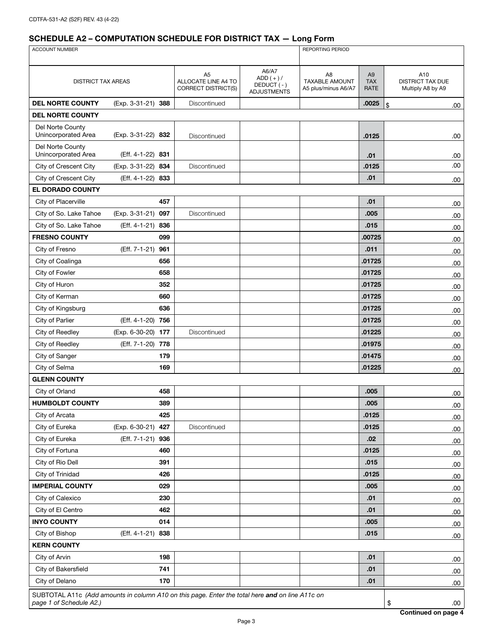| ACCOUNT NUMBER                                                                                                             |                    |                                                                     |                                                         |                                                                | REPORTING PERIOD                            |                                              |  |  |
|----------------------------------------------------------------------------------------------------------------------------|--------------------|---------------------------------------------------------------------|---------------------------------------------------------|----------------------------------------------------------------|---------------------------------------------|----------------------------------------------|--|--|
|                                                                                                                            |                    |                                                                     |                                                         |                                                                |                                             |                                              |  |  |
| <b>DISTRICT TAX AREAS</b>                                                                                                  |                    | A <sub>5</sub><br>ALLOCATE LINE A4 TO<br><b>CORRECT DISTRICT(S)</b> | A6/A7<br>$ADD (+) /$<br>DEDUCT(-)<br><b>ADJUSTMENTS</b> | A <sub>8</sub><br><b>TAXABLE AMOUNT</b><br>A5 plus/minus A6/A7 | A <sub>9</sub><br><b>TAX</b><br><b>RATE</b> | A10<br>DISTRICT TAX DUE<br>Multiply A8 by A9 |  |  |
| <b>DEL NORTE COUNTY</b>                                                                                                    | (Exp. 3-31-21) 388 | Discontinued                                                        |                                                         |                                                                | .0025                                       | \$<br>.00.                                   |  |  |
| <b>DEL NORTE COUNTY</b>                                                                                                    |                    |                                                                     |                                                         |                                                                |                                             |                                              |  |  |
| Del Norte County<br>Unincorporated Area                                                                                    | (Exp. 3-31-22) 832 | Discontinued                                                        |                                                         |                                                                | .0125                                       | .00                                          |  |  |
| Del Norte County<br>Unincorporated Area                                                                                    | (Eff. 4-1-22) 831  |                                                                     |                                                         |                                                                | .01                                         | .00                                          |  |  |
| City of Crescent City                                                                                                      | (Exp. 3-31-22) 834 | Discontinued                                                        |                                                         |                                                                | .0125                                       | .00                                          |  |  |
| City of Crescent City                                                                                                      | (Eff. 4-1-22) 833  |                                                                     |                                                         |                                                                | .01                                         | .00                                          |  |  |
| EL DORADO COUNTY                                                                                                           |                    |                                                                     |                                                         |                                                                |                                             |                                              |  |  |
| City of Placerville                                                                                                        | 457                |                                                                     |                                                         |                                                                | .01                                         | .00                                          |  |  |
| City of So. Lake Tahoe                                                                                                     | (Exp. 3-31-21) 097 | Discontinued                                                        |                                                         |                                                                | .005                                        | .00                                          |  |  |
| City of So. Lake Tahoe                                                                                                     | (Eff. 4-1-21) 836  |                                                                     |                                                         |                                                                | .015                                        | .00                                          |  |  |
| <b>FRESNO COUNTY</b>                                                                                                       | 099                |                                                                     |                                                         |                                                                | .00725                                      | .00                                          |  |  |
| City of Fresno                                                                                                             | (Eff. 7-1-21) 961  |                                                                     |                                                         |                                                                | .011                                        | .00                                          |  |  |
| City of Coalinga                                                                                                           | 656                |                                                                     |                                                         |                                                                | .01725                                      | .00                                          |  |  |
| City of Fowler                                                                                                             | 658                |                                                                     |                                                         |                                                                | .01725                                      | .00                                          |  |  |
| City of Huron                                                                                                              | 352                |                                                                     |                                                         |                                                                | .01725                                      | .00                                          |  |  |
| City of Kerman                                                                                                             | 660                |                                                                     |                                                         |                                                                | .01725                                      | .00                                          |  |  |
| City of Kingsburg                                                                                                          | 636                |                                                                     |                                                         |                                                                | .01725                                      | .00                                          |  |  |
| City of Parlier                                                                                                            | (Eff. 4-1-20) 756  |                                                                     |                                                         |                                                                | .01725                                      | .00                                          |  |  |
| City of Reedley                                                                                                            | (Exp. 6-30-20) 177 | Discontinued                                                        |                                                         |                                                                | .01225                                      | .00                                          |  |  |
| City of Reedley                                                                                                            | (Eff. 7-1-20) 778  |                                                                     |                                                         |                                                                | .01975                                      | .00                                          |  |  |
| City of Sanger                                                                                                             | 179                |                                                                     |                                                         |                                                                | .01475                                      | .00                                          |  |  |
| City of Selma                                                                                                              | 169                |                                                                     |                                                         |                                                                | .01225                                      | .00                                          |  |  |
| <b>GLENN COUNTY</b>                                                                                                        |                    |                                                                     |                                                         |                                                                |                                             |                                              |  |  |
| City of Orland                                                                                                             | 458                |                                                                     |                                                         |                                                                | .005                                        | .00                                          |  |  |
| <b>HUMBOLDT COUNTY</b>                                                                                                     | 389                |                                                                     |                                                         |                                                                | .005                                        | 00.                                          |  |  |
| City of Arcata                                                                                                             | 425                |                                                                     |                                                         |                                                                | .0125                                       | .00                                          |  |  |
| City of Eureka                                                                                                             | (Exp. 6-30-21) 427 | Discontinued                                                        |                                                         |                                                                | .0125                                       | .00.                                         |  |  |
| City of Eureka                                                                                                             | (Eff. 7-1-21) 936  |                                                                     |                                                         |                                                                | .02                                         | .00                                          |  |  |
| City of Fortuna                                                                                                            | 460                |                                                                     |                                                         |                                                                | .0125                                       | .00.                                         |  |  |
| City of Rio Dell                                                                                                           | 391                |                                                                     |                                                         |                                                                | .015                                        | .00                                          |  |  |
| City of Trinidad                                                                                                           | 426                |                                                                     |                                                         |                                                                | .0125                                       | .00                                          |  |  |
| <b>IMPERIAL COUNTY</b>                                                                                                     | 029                |                                                                     |                                                         |                                                                | .005                                        | .00.                                         |  |  |
| City of Calexico                                                                                                           | 230                |                                                                     |                                                         |                                                                | .01                                         | .00                                          |  |  |
| City of El Centro                                                                                                          | 462                |                                                                     |                                                         |                                                                | .01                                         | .00                                          |  |  |
| <b>INYO COUNTY</b>                                                                                                         | 014                |                                                                     |                                                         |                                                                | .005                                        | .00                                          |  |  |
| City of Bishop                                                                                                             | (Eff. 4-1-21) 838  |                                                                     |                                                         |                                                                | .015                                        | .00                                          |  |  |
| <b>KERN COUNTY</b>                                                                                                         |                    |                                                                     |                                                         |                                                                |                                             |                                              |  |  |
| City of Arvin                                                                                                              | 198                |                                                                     |                                                         |                                                                | .01                                         | .00                                          |  |  |
| City of Bakersfield                                                                                                        | 741                |                                                                     |                                                         |                                                                | .01                                         | .00                                          |  |  |
| City of Delano                                                                                                             | 170                |                                                                     |                                                         |                                                                | .01                                         | .00.                                         |  |  |
|                                                                                                                            |                    |                                                                     |                                                         |                                                                |                                             |                                              |  |  |
| SUBTOTAL A11c (Add amounts in column A10 on this page. Enter the total here and on line A11c on<br>page 1 of Schedule A2.) |                    |                                                                     |                                                         |                                                                |                                             | \$<br>.00.                                   |  |  |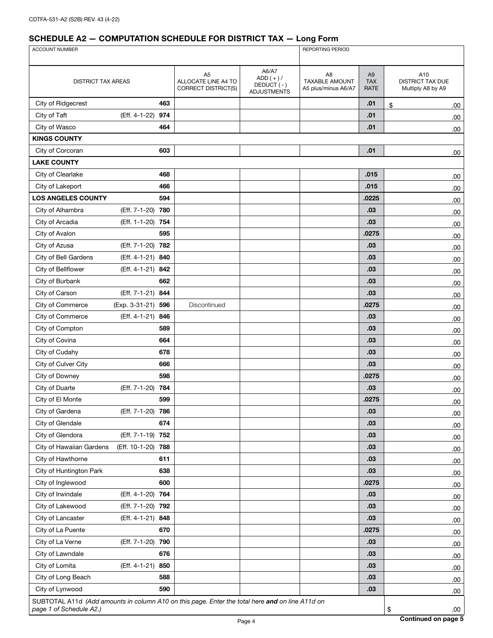| ACCOUNT NUMBER                                                                                  |                      |                                                              |                                                         | <b>REPORTING PERIOD</b>                                        |                                      |                                                     |      |
|-------------------------------------------------------------------------------------------------|----------------------|--------------------------------------------------------------|---------------------------------------------------------|----------------------------------------------------------------|--------------------------------------|-----------------------------------------------------|------|
|                                                                                                 |                      |                                                              |                                                         |                                                                |                                      |                                                     |      |
| <b>DISTRICT TAX AREAS</b>                                                                       |                      | A <sub>5</sub><br>ALLOCATE LINE A4 TO<br>CORRECT DISTRICT(S) | A6/A7<br>$ADD (+)/$<br>DEDUCT (-)<br><b>ADJUSTMENTS</b> | A <sub>8</sub><br><b>TAXABLE AMOUNT</b><br>A5 plus/minus A6/A7 | A <sub>9</sub><br><b>TAX</b><br>RATE | A10<br><b>DISTRICT TAX DUE</b><br>Multiply A8 by A9 |      |
| City of Ridgecrest                                                                              | 463                  |                                                              |                                                         |                                                                | .01                                  | \$                                                  | .00. |
| City of Taft                                                                                    | (Eff. 4-1-22)<br>974 |                                                              |                                                         |                                                                | .01                                  |                                                     | .00. |
| City of Wasco                                                                                   | 464                  |                                                              |                                                         |                                                                | .01                                  |                                                     | .00  |
| <b>KINGS COUNTY</b>                                                                             |                      |                                                              |                                                         |                                                                |                                      |                                                     |      |
| City of Corcoran                                                                                | 603                  |                                                              |                                                         |                                                                | .01                                  |                                                     | .00  |
| <b>LAKE COUNTY</b>                                                                              |                      |                                                              |                                                         |                                                                |                                      |                                                     |      |
| City of Clearlake                                                                               | 468                  |                                                              |                                                         |                                                                | .015                                 |                                                     | .00  |
| City of Lakeport                                                                                | 466                  |                                                              |                                                         |                                                                | .015                                 |                                                     | .00  |
| <b>LOS ANGELES COUNTY</b>                                                                       | 594                  |                                                              |                                                         |                                                                | .0225                                |                                                     | .00  |
| City of Alhambra                                                                                | (Eff. 7-1-20)<br>780 |                                                              |                                                         |                                                                | .03                                  |                                                     | .00. |
| City of Arcadia                                                                                 | (Eff. 1-1-20) 754    |                                                              |                                                         |                                                                | .03                                  |                                                     | .00. |
| City of Avalon                                                                                  | 595                  |                                                              |                                                         |                                                                | .0275                                |                                                     | .00. |
| City of Azusa                                                                                   | (Eff. 7-1-20) 782    |                                                              |                                                         |                                                                | .03                                  |                                                     | .00. |
| City of Bell Gardens                                                                            | (Eff. 4-1-21) 840    |                                                              |                                                         |                                                                | .03                                  |                                                     | .00  |
| City of Bellflower                                                                              | (Eff. 4-1-21)<br>842 |                                                              |                                                         |                                                                | .03                                  |                                                     | .00  |
| City of Burbank                                                                                 | 662                  |                                                              |                                                         |                                                                | .03                                  |                                                     | .00  |
| City of Carson                                                                                  | (Eff. 7-1-21) 844    |                                                              |                                                         |                                                                | .03                                  |                                                     | .00. |
| City of Commerce                                                                                | (Exp. 3-31-21) 596   | Discontinued                                                 |                                                         |                                                                | .0275                                |                                                     | .00  |
| City of Commerce                                                                                | (Eff. 4-1-21) 846    |                                                              |                                                         |                                                                | .03                                  |                                                     | .00. |
| City of Compton                                                                                 | 589                  |                                                              |                                                         |                                                                | .03                                  |                                                     | .00  |
| City of Covina                                                                                  | 664                  |                                                              |                                                         |                                                                | .03                                  |                                                     | .00. |
| City of Cudahy                                                                                  | 678                  |                                                              |                                                         |                                                                | .03                                  |                                                     | .00  |
| City of Culver City                                                                             | 666                  |                                                              |                                                         |                                                                | .03                                  |                                                     | .00  |
| City of Downey                                                                                  | 598                  |                                                              |                                                         |                                                                | .0275                                |                                                     | .00. |
| City of Duarte                                                                                  | (Eff. 7-1-20) 784    |                                                              |                                                         |                                                                | .03                                  |                                                     | .00  |
| City of El Monte                                                                                | 599                  |                                                              |                                                         |                                                                | .0275                                |                                                     | .00  |
| City of Gardena                                                                                 | (Eff. 7-1-20) 786    |                                                              |                                                         |                                                                | .03                                  |                                                     | .00  |
| City of Glendale                                                                                | 674                  |                                                              |                                                         |                                                                | .03                                  |                                                     | .00  |
| City of Glendora                                                                                | (Eff. 7-1-19) 752    |                                                              |                                                         |                                                                | .03                                  |                                                     | .00. |
| City of Hawaiian Gardens                                                                        | (Eff. 10-1-20) 788   |                                                              |                                                         |                                                                | .03                                  |                                                     | .00  |
| City of Hawthorne                                                                               | 611                  |                                                              |                                                         |                                                                | .03                                  |                                                     | .00  |
| City of Huntington Park                                                                         | 638                  |                                                              |                                                         |                                                                | .03                                  |                                                     | .00  |
| City of Inglewood                                                                               | 600                  |                                                              |                                                         |                                                                | .0275                                |                                                     | .00. |
| City of Irwindale                                                                               | (Eff. 4-1-20) 764    |                                                              |                                                         |                                                                | .03                                  |                                                     | .00. |
| City of Lakewood                                                                                | (Eff. 7-1-20) 792    |                                                              |                                                         |                                                                | .03                                  |                                                     | .00. |
| City of Lancaster                                                                               | (Eff. 4-1-21) 848    |                                                              |                                                         |                                                                | .03                                  |                                                     | .00. |
| City of La Puente                                                                               | 670                  |                                                              |                                                         |                                                                | .0275                                |                                                     | .00. |
| City of La Verne                                                                                | (Eff. 7-1-20) 790    |                                                              |                                                         |                                                                | .03                                  |                                                     | .00  |
| City of Lawndale                                                                                | 676                  |                                                              |                                                         |                                                                | .03                                  |                                                     | .00  |
| City of Lomita                                                                                  | (Eff. 4-1-21) 850    |                                                              |                                                         |                                                                | .03                                  |                                                     | .00  |
| City of Long Beach                                                                              | 588                  |                                                              |                                                         |                                                                | .03                                  |                                                     | .00  |
| City of Lynwood                                                                                 | 590                  |                                                              |                                                         |                                                                | .03                                  |                                                     | .00  |
| SUBTOTAL A11d (Add amounts in column A10 on this page. Enter the total here and on line A11d on |                      |                                                              |                                                         |                                                                |                                      |                                                     |      |
| page 1 of Schedule A2.)                                                                         |                      |                                                              |                                                         |                                                                |                                      | \$                                                  | .00  |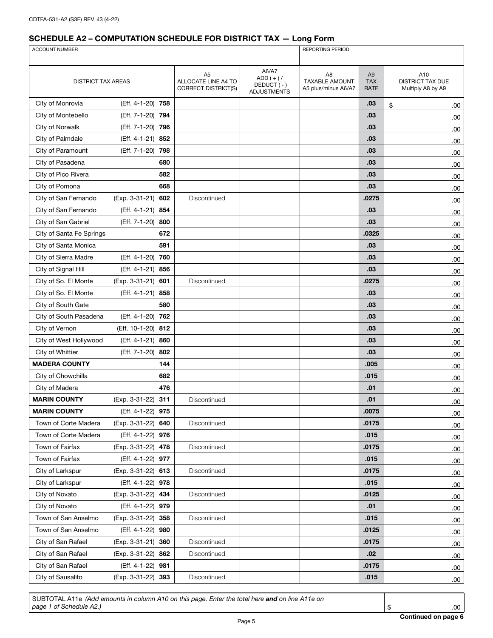| ACCOUNT NUMBER            |                       |                                                  |                                                         | <b>REPORTING PERIOD</b>                                        |                                             |                                                     |  |
|---------------------------|-----------------------|--------------------------------------------------|---------------------------------------------------------|----------------------------------------------------------------|---------------------------------------------|-----------------------------------------------------|--|
|                           |                       |                                                  |                                                         |                                                                |                                             |                                                     |  |
| <b>DISTRICT TAX AREAS</b> |                       | A5<br>ALLOCATE LINE A4 TO<br>CORRECT DISTRICT(S) | A6/A7<br>$ADD (+)/$<br>DEDUCT (-)<br><b>ADJUSTMENTS</b> | A <sub>8</sub><br><b>TAXABLE AMOUNT</b><br>A5 plus/minus A6/A7 | A <sub>9</sub><br><b>TAX</b><br><b>RATE</b> | A10<br><b>DISTRICT TAX DUE</b><br>Multiply A8 by A9 |  |
| City of Monrovia          | (Eff. 4-1-20) 758     |                                                  |                                                         |                                                                | .03                                         | \$<br>.00.                                          |  |
| City of Montebello        | (Eff. 7-1-20)<br>794  |                                                  |                                                         |                                                                | .03                                         | .00                                                 |  |
| City of Norwalk           | (Eff. 7-1-20) 796     |                                                  |                                                         |                                                                | .03                                         | .00                                                 |  |
| City of Palmdale          | (Eff. 4-1-21) 852     |                                                  |                                                         |                                                                | .03                                         | .00                                                 |  |
| City of Paramount         | (Eff. 7-1-20) 798     |                                                  |                                                         |                                                                | .03                                         | .00                                                 |  |
| City of Pasadena          | 680                   |                                                  |                                                         |                                                                | .03                                         | .00                                                 |  |
| City of Pico Rivera       | 582                   |                                                  |                                                         |                                                                | .03                                         | .00                                                 |  |
| City of Pomona            | 668                   |                                                  |                                                         |                                                                | .03                                         | .00                                                 |  |
| City of San Fernando      | (Exp. 3-31-21)<br>602 | Discontinued                                     |                                                         |                                                                | .0275                                       | .00                                                 |  |
| City of San Fernando      | (Eff. 4-1-21) 854     |                                                  |                                                         |                                                                | .03                                         | .00                                                 |  |
| City of San Gabriel       | (Eff. 7-1-20) 800     |                                                  |                                                         |                                                                | .03                                         | .00                                                 |  |
| City of Santa Fe Springs  | 672                   |                                                  |                                                         |                                                                | .0325                                       | .00.                                                |  |
| City of Santa Monica      | 591                   |                                                  |                                                         |                                                                | .03                                         | .00                                                 |  |
| City of Sierra Madre      | (Eff. 4-1-20)<br>760  |                                                  |                                                         |                                                                | .03                                         | .00                                                 |  |
| City of Signal Hill       | (Eff. 4-1-21)<br>856  |                                                  |                                                         |                                                                | .03                                         | .00                                                 |  |
| City of So. El Monte      | (Exp. 3-31-21) 601    | Discontinued                                     |                                                         |                                                                | .0275                                       | .00                                                 |  |
| City of So. El Monte      | (Eff. 4-1-21)<br>858  |                                                  |                                                         |                                                                | .03                                         | .00                                                 |  |
| City of South Gate        | 580                   |                                                  |                                                         |                                                                | .03                                         | .00                                                 |  |
| City of South Pasadena    | (Eff. 4-1-20) 762     |                                                  |                                                         |                                                                | .03                                         | .00                                                 |  |
| City of Vernon            | (Eff. 10-1-20) 812    |                                                  |                                                         |                                                                | .03                                         | .00                                                 |  |
| City of West Hollywood    | (Eff. 4-1-21) 860     |                                                  |                                                         |                                                                | .03                                         | .00                                                 |  |
| City of Whittier          | 802<br>(Eff. 7-1-20)  |                                                  |                                                         |                                                                | .03                                         | .00                                                 |  |
| <b>MADERA COUNTY</b>      | 144                   |                                                  |                                                         |                                                                | .005                                        | .00                                                 |  |
| City of Chowchilla        | 682                   |                                                  |                                                         |                                                                | .015                                        | .00.                                                |  |
| City of Madera            | 476                   |                                                  |                                                         |                                                                | .01                                         | .00                                                 |  |
| <b>MARIN COUNTY</b>       | (Exp. 3-31-22)<br>311 | Discontinued                                     |                                                         |                                                                | .01                                         | .00                                                 |  |
| <b>MARIN COUNTY</b>       | (Eff. 4-1-22) 975     |                                                  |                                                         |                                                                | .0075                                       | .00                                                 |  |
| Town of Corte Madera      | (Exp. 3-31-22) 640    | Discontinued                                     |                                                         |                                                                | .0175                                       | .00                                                 |  |
| Town of Corte Madera      | (Eff. 4-1-22) 976     |                                                  |                                                         |                                                                | .015                                        | .00                                                 |  |
| Town of Fairfax           | (Exp. 3-31-22) 478    | Discontinued                                     |                                                         |                                                                | .0175                                       | .00                                                 |  |
| Town of Fairfax           | (Eff. 4-1-22) 977     |                                                  |                                                         |                                                                | .015                                        | .00                                                 |  |
| City of Larkspur          | (Exp. 3-31-22) 613    | Discontinued                                     |                                                         |                                                                | .0175                                       | .00.                                                |  |
| City of Larkspur          | (Eff. 4-1-22) 978     |                                                  |                                                         |                                                                | .015                                        | .00                                                 |  |
| City of Novato            | (Exp. 3-31-22) 434    | Discontinued                                     |                                                         |                                                                | .0125                                       | .00                                                 |  |
| City of Novato            | (Eff. 4-1-22) 979     |                                                  |                                                         |                                                                | .01                                         | .00                                                 |  |
| Town of San Anselmo       | (Exp. 3-31-22) 358    | Discontinued                                     |                                                         |                                                                | .015                                        | .00.                                                |  |
| Town of San Anselmo       | (Eff. 4-1-22) 980     |                                                  |                                                         |                                                                | .0125                                       | .00.                                                |  |
| City of San Rafael        | (Exp. 3-31-21) 360    | Discontinued                                     |                                                         |                                                                | .0175                                       | .00                                                 |  |
| City of San Rafael        | (Exp. 3-31-22) 862    | Discontinued                                     |                                                         |                                                                | .02                                         | .00                                                 |  |
| City of San Rafael        | (Eff. 4-1-22) 981     |                                                  |                                                         |                                                                | .0175                                       | .00                                                 |  |
| City of Sausalito         | (Exp. 3-31-22) 393    | Discontinued                                     |                                                         |                                                                | .015                                        | .00.                                                |  |

SUBTOTAL A11e *(Add amounts in column A10 on this page. Enter the total here and on line A11e on*  **page 1 of Schedule A2.)** .00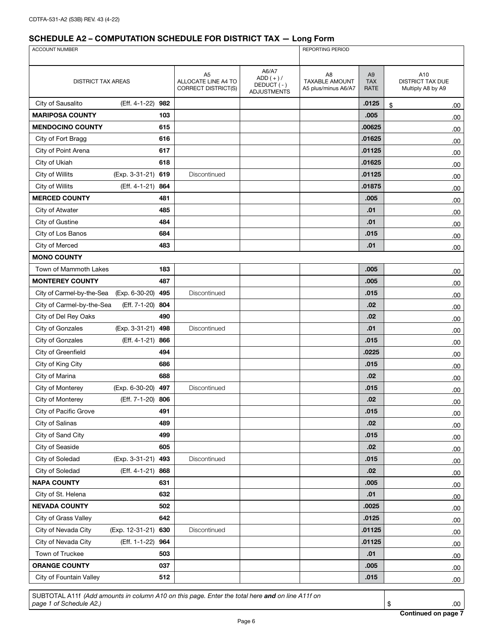| ACCOUNT NUMBER                              |                    |                                                              |                                                         | REPORTING PERIOD                                               |                                      |                                              |  |
|---------------------------------------------|--------------------|--------------------------------------------------------------|---------------------------------------------------------|----------------------------------------------------------------|--------------------------------------|----------------------------------------------|--|
|                                             |                    |                                                              |                                                         |                                                                |                                      |                                              |  |
| <b>DISTRICT TAX AREAS</b>                   |                    | A <sub>5</sub><br>ALLOCATE LINE A4 TO<br>CORRECT DISTRICT(S) | A6/A7<br>ADD $(+)$ /<br>DEDUCT(-)<br><b>ADJUSTMENTS</b> | A <sub>8</sub><br><b>TAXABLE AMOUNT</b><br>A5 plus/minus A6/A7 | A <sub>9</sub><br><b>TAX</b><br>RATE | A10<br>DISTRICT TAX DUE<br>Multiply A8 by A9 |  |
| City of Sausalito<br>(Eff. 4-1-22)          | 982                |                                                              |                                                         |                                                                | .0125                                | \$<br>.00                                    |  |
| <b>MARIPOSA COUNTY</b>                      | 103                |                                                              |                                                         |                                                                | .005                                 | .00.                                         |  |
| <b>MENDOCINO COUNTY</b>                     | 615                |                                                              |                                                         |                                                                | .00625                               | .00                                          |  |
| City of Fort Bragg                          | 616                |                                                              |                                                         |                                                                | .01625                               | .00                                          |  |
| City of Point Arena                         | 617                |                                                              |                                                         |                                                                | .01125                               | .00                                          |  |
| City of Ukiah                               | 618                |                                                              |                                                         |                                                                | .01625                               | .00.                                         |  |
| City of Willits                             | (Exp. 3-31-21) 619 | Discontinued                                                 |                                                         |                                                                | .01125                               | .00                                          |  |
| (Eff. 4-1-21)<br>City of Willits            | 864                |                                                              |                                                         |                                                                | .01875                               | .00                                          |  |
| <b>MERCED COUNTY</b>                        | 481                |                                                              |                                                         |                                                                | .005                                 | .00                                          |  |
| City of Atwater                             | 485                |                                                              |                                                         |                                                                | .01                                  | .00                                          |  |
| City of Gustine                             | 484                |                                                              |                                                         |                                                                | .01                                  | .00                                          |  |
| City of Los Banos                           | 684                |                                                              |                                                         |                                                                | .015                                 | .00                                          |  |
| City of Merced                              | 483                |                                                              |                                                         |                                                                | .01                                  | .00.                                         |  |
| <b>MONO COUNTY</b>                          |                    |                                                              |                                                         |                                                                |                                      |                                              |  |
| Town of Mammoth Lakes                       | 183                |                                                              |                                                         |                                                                | .005                                 | .00                                          |  |
| <b>MONTEREY COUNTY</b>                      | 487                |                                                              |                                                         |                                                                | .005                                 | .00                                          |  |
| (Exp. 6-30-20)<br>City of Carmel-by-the-Sea | 495                | Discontinued                                                 |                                                         |                                                                | .015                                 | .00.                                         |  |
| City of Carmel-by-the-Sea                   | (Eff. 7-1-20) 804  |                                                              |                                                         |                                                                | .02                                  | .00                                          |  |
| City of Del Rey Oaks                        | 490                |                                                              |                                                         |                                                                | .02                                  | .00                                          |  |
| City of Gonzales                            | (Exp. 3-31-21) 498 | Discontinued                                                 |                                                         |                                                                | .01                                  | .00                                          |  |
| City of Gonzales                            | (Eff. 4-1-21) 866  |                                                              |                                                         |                                                                | .015                                 | .00                                          |  |
| City of Greenfield                          | 494                |                                                              |                                                         |                                                                | .0225                                | .00                                          |  |
| City of King City                           | 686                |                                                              |                                                         |                                                                | .015                                 | .00                                          |  |
| City of Marina                              | 688                |                                                              |                                                         |                                                                | .02                                  | .00                                          |  |
| City of Monterey<br>(Exp. 6-30-20)          | 497                | Discontinued                                                 |                                                         |                                                                | .015                                 | .00.                                         |  |
| City of Monterey                            | (Eff. 7-1-20) 806  |                                                              |                                                         |                                                                | .02                                  | .00                                          |  |
| City of Pacific Grove                       | 491                |                                                              |                                                         |                                                                | .015                                 | .00                                          |  |
| City of Salinas                             | 489                |                                                              |                                                         |                                                                | .02                                  | .00.                                         |  |
| City of Sand City                           | 499                |                                                              |                                                         |                                                                | .015                                 | .00.                                         |  |
| City of Seaside                             | 605                |                                                              |                                                         |                                                                | .02                                  | .00                                          |  |
| City of Soledad                             | (Exp. 3-31-21) 493 | Discontinued                                                 |                                                         |                                                                | .015                                 | .00                                          |  |
| City of Soledad<br>(Eff. 4-1-21)            | 868                |                                                              |                                                         |                                                                | .02                                  | .00                                          |  |
| <b>NAPA COUNTY</b>                          | 631                |                                                              |                                                         |                                                                | .005                                 | .00                                          |  |
| City of St. Helena                          | 632                |                                                              |                                                         |                                                                | .01                                  | .00                                          |  |
| <b>NEVADA COUNTY</b>                        | 502                |                                                              |                                                         |                                                                | .0025                                | .00                                          |  |
| City of Grass Valley                        | 642                |                                                              |                                                         |                                                                | .0125                                | .00                                          |  |
| (Exp. 12-31-21) 630<br>City of Nevada City  |                    | Discontinued                                                 |                                                         |                                                                | .01125                               | .00                                          |  |
| City of Nevada City<br>(Eff. 1-1-22)        | 964                |                                                              |                                                         |                                                                | .01125                               | .00                                          |  |
| Town of Truckee                             | 503                |                                                              |                                                         |                                                                | .01                                  | .00                                          |  |
| <b>ORANGE COUNTY</b>                        | 037                |                                                              |                                                         |                                                                | .005                                 | .00                                          |  |
| City of Fountain Valley                     | 512                |                                                              |                                                         |                                                                | .015                                 | .00.                                         |  |

SUBTOTAL A11f *(Add amounts in column A10 on this page. Enter the total here and on line A11f on*  **page 1 of Schedule A2.)** .00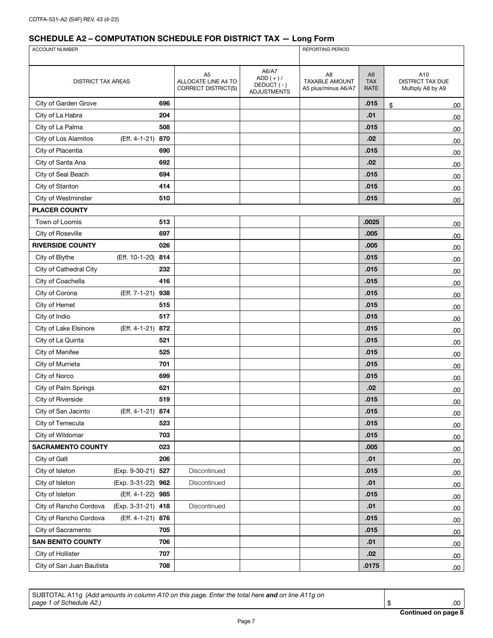| <b>ACCOUNT NUMBER</b>     |                       |                                                              | <b>REPORTING PERIOD</b>                                |                                                    |                                             |                                              |
|---------------------------|-----------------------|--------------------------------------------------------------|--------------------------------------------------------|----------------------------------------------------|---------------------------------------------|----------------------------------------------|
|                           |                       |                                                              |                                                        |                                                    |                                             |                                              |
| <b>DISTRICT TAX AREAS</b> |                       | A <sub>5</sub><br>ALLOCATE LINE A4 TO<br>CORRECT DISTRICT(S) | A6/A7<br>$ADD (+)/$<br>DEDUCT(-)<br><b>ADJUSTMENTS</b> | A8<br><b>TAXABLE AMOUNT</b><br>A5 plus/minus A6/A7 | A <sub>9</sub><br><b>TAX</b><br><b>RATE</b> | A10<br>DISTRICT TAX DUE<br>Multiply A8 by A9 |
| City of Garden Grove      | 696                   |                                                              |                                                        |                                                    | .015                                        | \$<br>.00                                    |
| City of La Habra          | 204                   |                                                              |                                                        |                                                    | .01                                         | .00                                          |
| City of La Palma          | 508                   |                                                              |                                                        |                                                    | .015                                        | .00                                          |
| City of Los Alamitos      | (Eff. 4-1-21)<br>870  |                                                              |                                                        |                                                    | .02                                         | .00.                                         |
| City of Placentia         | 690                   |                                                              |                                                        |                                                    | .015                                        | .00.                                         |
| City of Santa Ana         | 692                   |                                                              |                                                        |                                                    | .02                                         | .00                                          |
| City of Seal Beach        | 694                   |                                                              |                                                        |                                                    | .015                                        | .00.                                         |
| City of Stanton           | 414                   |                                                              |                                                        |                                                    | .015                                        | .00.                                         |
| City of Westminster       | 510                   |                                                              |                                                        |                                                    | .015                                        | .00.                                         |
| <b>PLACER COUNTY</b>      |                       |                                                              |                                                        |                                                    |                                             |                                              |
| Town of Loomis            | 513                   |                                                              |                                                        |                                                    | .0025                                       | .00.                                         |
| City of Roseville         | 697                   |                                                              |                                                        |                                                    | .005                                        | .00                                          |
| <b>RIVERSIDE COUNTY</b>   | 026                   |                                                              |                                                        |                                                    | .005                                        | .00.                                         |
| City of Blythe            | (Eff. 10-1-20)<br>814 |                                                              |                                                        |                                                    | .015                                        | .00.                                         |
| City of Cathedral City    | 232                   |                                                              |                                                        |                                                    | .015                                        | .00.                                         |
| City of Coachella         | 416                   |                                                              |                                                        |                                                    | .015                                        | .00.                                         |
| City of Corona            | (Eff. 7-1-21)<br>938  |                                                              |                                                        |                                                    | .015                                        | .00.                                         |
| City of Hemet             | 515                   |                                                              |                                                        |                                                    | .015                                        | .00.                                         |
| City of Indio             | 517                   |                                                              |                                                        |                                                    | .015                                        | .00                                          |
| City of Lake Elsinore     | (Eff. 4-1-21) 872     |                                                              |                                                        |                                                    | .015                                        | .00                                          |
| City of La Quinta         | 521                   |                                                              |                                                        |                                                    | .015                                        | .00                                          |
| City of Menifee           | 525                   |                                                              |                                                        |                                                    | .015                                        | .00.                                         |
| City of Murrieta          | 701                   |                                                              |                                                        |                                                    | .015                                        | .00.                                         |
| City of Norco             | 699                   |                                                              |                                                        |                                                    | .015                                        | .00                                          |
| City of Palm Springs      | 621                   |                                                              |                                                        |                                                    | .02                                         | .00                                          |
| City of Riverside         | 519                   |                                                              |                                                        |                                                    | .015                                        | .00.                                         |
| City of San Jacinto       | (Eff. 4-1-21) 874     |                                                              |                                                        |                                                    | .015                                        | .00.                                         |
| City of Temecula          | 523                   |                                                              |                                                        |                                                    | .015                                        | .00.                                         |
| City of Wildomar          | 703                   |                                                              |                                                        |                                                    | .015                                        | .00.                                         |
| <b>SACRAMENTO COUNTY</b>  | 023                   |                                                              |                                                        |                                                    | .005                                        | .00                                          |
| City of Galt              | 206                   |                                                              |                                                        |                                                    | .01                                         | .00                                          |
| City of Isleton           | (Exp. 9-30-21) 527    | Discontinued                                                 |                                                        |                                                    | .015                                        | .00.                                         |
| City of Isleton           | (Exp. 3-31-22) 962    | Discontinued                                                 |                                                        |                                                    | .01                                         | .00                                          |
| City of Isleton           | (Eff. 4-1-22) 985     |                                                              |                                                        |                                                    | .015                                        | .00.                                         |
| City of Rancho Cordova    | (Exp. 3-31-21) 418    | Discontinued                                                 |                                                        |                                                    | .01                                         | .00                                          |
| City of Rancho Cordova    | (Eff. 4-1-21) 876     |                                                              |                                                        |                                                    | .015                                        | .00.                                         |
| City of Sacramento        | 705                   |                                                              |                                                        |                                                    | .015                                        | .00.                                         |
| <b>SAN BENITO COUNTY</b>  | 706                   |                                                              |                                                        |                                                    | .01                                         | .00                                          |
| City of Hollister         | 707                   |                                                              |                                                        |                                                    | .02                                         | .00.                                         |
| City of San Juan Bautista | 708                   |                                                              |                                                        |                                                    | .0175                                       | .00.                                         |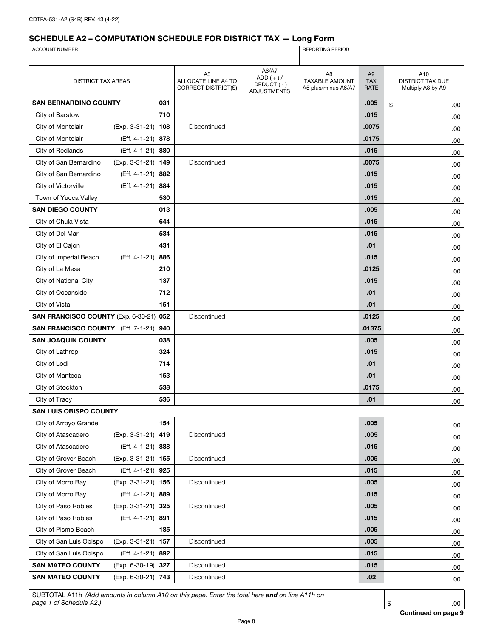| ACCOUNT NUMBER                          |                    |     |                                                         | REPORTING PERIOD                                       |                                                                |                                      |                                                     |
|-----------------------------------------|--------------------|-----|---------------------------------------------------------|--------------------------------------------------------|----------------------------------------------------------------|--------------------------------------|-----------------------------------------------------|
|                                         |                    |     |                                                         |                                                        |                                                                |                                      |                                                     |
| <b>DISTRICT TAX AREAS</b>               |                    |     | A5<br>ALLOCATE LINE A4 TO<br><b>CORRECT DISTRICT(S)</b> | A6/A7<br>$ADD (+)/$<br>DEDUCT(-)<br><b>ADJUSTMENTS</b> | A <sub>8</sub><br><b>TAXABLE AMOUNT</b><br>A5 plus/minus A6/A7 | A <sub>9</sub><br><b>TAX</b><br>RATE | A10<br><b>DISTRICT TAX DUE</b><br>Multiply A8 by A9 |
| <b>SAN BERNARDINO COUNTY</b>            |                    | 031 |                                                         |                                                        |                                                                | .005                                 | \$<br>.00                                           |
| City of Barstow                         |                    | 710 |                                                         |                                                        |                                                                | .015                                 | .00                                                 |
| City of Montclair                       | (Exp. 3-31-21) 108 |     | Discontinued                                            |                                                        |                                                                | .0075                                | .00                                                 |
| City of Montclair                       | (Eff. 4-1-21) 878  |     |                                                         |                                                        |                                                                | .0175                                | .00                                                 |
| City of Redlands                        | (Eff. 4-1-21) 880  |     |                                                         |                                                        |                                                                | .015                                 | .00                                                 |
| City of San Bernardino                  | (Exp. 3-31-21) 149 |     | Discontinued                                            |                                                        |                                                                | .0075                                | .00                                                 |
| City of San Bernardino                  | (Eff. 4-1-21) 882  |     |                                                         |                                                        |                                                                | .015                                 | .00                                                 |
| City of Victorville                     | (Eff. 4-1-21) 884  |     |                                                         |                                                        |                                                                | .015                                 | .00                                                 |
| Town of Yucca Valley                    |                    | 530 |                                                         |                                                        |                                                                | .015                                 | .00                                                 |
| <b>SAN DIEGO COUNTY</b>                 |                    | 013 |                                                         |                                                        |                                                                | .005                                 | .00                                                 |
| City of Chula Vista                     |                    | 644 |                                                         |                                                        |                                                                | .015                                 | .00                                                 |
| City of Del Mar                         |                    | 534 |                                                         |                                                        |                                                                | .015                                 | .00                                                 |
| City of El Cajon                        |                    | 431 |                                                         |                                                        |                                                                | .01                                  | .00                                                 |
| City of Imperial Beach                  | (Eff. 4-1-21)      | 886 |                                                         |                                                        |                                                                | .015                                 | .00                                                 |
| City of La Mesa                         |                    | 210 |                                                         |                                                        |                                                                | .0125                                | .00                                                 |
| City of National City                   |                    | 137 |                                                         |                                                        |                                                                | .015                                 | .00                                                 |
| City of Oceanside                       |                    | 712 |                                                         |                                                        |                                                                | .01                                  | .00                                                 |
| City of Vista                           |                    | 151 |                                                         |                                                        |                                                                | .01                                  | .00                                                 |
| SAN FRANCISCO COUNTY (Exp. 6-30-21) 052 |                    |     | Discontinued                                            |                                                        |                                                                | .0125                                | .00                                                 |
| SAN FRANCISCO COUNTY (Eff. 7-1-21) 940  |                    |     |                                                         |                                                        |                                                                | .01375                               | .00                                                 |
| <b>SAN JOAQUIN COUNTY</b>               |                    | 038 |                                                         |                                                        |                                                                | .005                                 | .00                                                 |
| City of Lathrop                         |                    | 324 |                                                         |                                                        |                                                                | .015                                 | .00                                                 |
| City of Lodi                            |                    | 714 |                                                         |                                                        |                                                                | .01                                  | .00                                                 |
| City of Manteca                         |                    | 153 |                                                         |                                                        |                                                                | .01                                  | .00                                                 |
| City of Stockton                        |                    | 538 |                                                         |                                                        |                                                                | .0175                                | .00                                                 |
| City of Tracy                           |                    | 536 |                                                         |                                                        |                                                                | .01                                  | 00.                                                 |
| <b>SAN LUIS OBISPO COUNTY</b>           |                    |     |                                                         |                                                        |                                                                |                                      |                                                     |
| City of Arroyo Grande                   |                    | 154 |                                                         |                                                        |                                                                | .005                                 | .00                                                 |
| City of Atascadero                      | (Exp. 3-31-21) 419 |     | Discontinued                                            |                                                        |                                                                | .005                                 | .00                                                 |
| City of Atascadero                      | (Eff. 4-1-21) 888  |     |                                                         |                                                        |                                                                | .015                                 | .00.                                                |
| City of Grover Beach                    | (Exp. 3-31-21) 155 |     | Discontinued                                            |                                                        |                                                                | .005                                 | .00                                                 |
| City of Grover Beach                    | (Eff. 4-1-21) 925  |     |                                                         |                                                        |                                                                | .015                                 | .00.                                                |
| City of Morro Bay                       | (Exp. 3-31-21) 156 |     | Discontinued                                            |                                                        |                                                                | .005                                 | .00                                                 |
| City of Morro Bay                       | (Eff. 4-1-21) 889  |     |                                                         |                                                        |                                                                | .015                                 | .00                                                 |
| City of Paso Robles                     | (Exp. 3-31-21) 325 |     | Discontinued                                            |                                                        |                                                                | .005                                 | .00                                                 |
| City of Paso Robles                     | (Eff. 4-1-21) 891  |     |                                                         |                                                        |                                                                | .015                                 | .00.                                                |
| City of Pismo Beach                     |                    | 185 |                                                         |                                                        |                                                                | .005                                 | .00                                                 |
| City of San Luis Obispo                 | (Exp. 3-31-21) 157 |     | Discontinued                                            |                                                        |                                                                | .005                                 | .00                                                 |
| City of San Luis Obispo                 | (Eff. 4-1-21) 892  |     |                                                         |                                                        |                                                                | .015                                 | .00                                                 |
| <b>SAN MATEO COUNTY</b>                 | (Exp. 6-30-19) 327 |     | Discontinued                                            |                                                        |                                                                | .015                                 | .00                                                 |
| <b>SAN MATEO COUNTY</b>                 | (Exp. 6-30-21) 743 |     | Discontinued                                            |                                                        |                                                                | .02                                  | .00.                                                |

SUBTOTAL A11h *(Add amounts in column A10 on this page. Enter the total here and on line A11h on page 1 of Schedule A2.)* \$ .00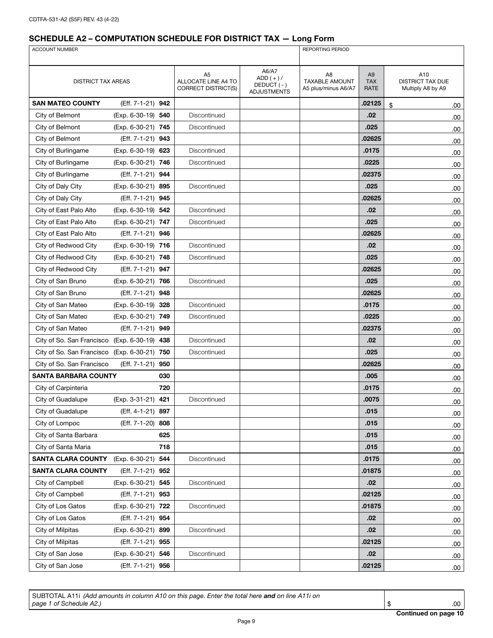| <b>ACCOUNT NUMBER</b>     |                    |     |                                                                     |                                                          | <b>REPORTING PERIOD</b>                                        |                                             |                                                     |  |
|---------------------------|--------------------|-----|---------------------------------------------------------------------|----------------------------------------------------------|----------------------------------------------------------------|---------------------------------------------|-----------------------------------------------------|--|
|                           |                    |     |                                                                     |                                                          |                                                                |                                             |                                                     |  |
| <b>DISTRICT TAX AREAS</b> |                    |     | A <sub>5</sub><br>ALLOCATE LINE A4 TO<br><b>CORRECT DISTRICT(S)</b> | A6/A7<br>$ADD (+) /$<br>DEDUCT (-)<br><b>ADJUSTMENTS</b> | A <sub>8</sub><br><b>TAXABLE AMOUNT</b><br>A5 plus/minus A6/A7 | A <sub>9</sub><br><b>TAX</b><br><b>RATE</b> | A10<br><b>DISTRICT TAX DUE</b><br>Multiply A8 by A9 |  |
| <b>SAN MATEO COUNTY</b>   | (Eff. 7-1-21) 942  |     |                                                                     |                                                          |                                                                | .02125                                      | \$<br>.00                                           |  |
| City of Belmont           | (Exp. 6-30-19) 540 |     | Discontinued                                                        |                                                          |                                                                | .02                                         | .00                                                 |  |
| City of Belmont           | (Exp. 6-30-21) 745 |     | Discontinued                                                        |                                                          |                                                                | .025                                        | .00                                                 |  |
| City of Belmont           | (Eff. 7-1-21) 943  |     |                                                                     |                                                          |                                                                | .02625                                      | .00                                                 |  |
| City of Burlingame        | (Exp. 6-30-19) 623 |     | Discontinued                                                        |                                                          |                                                                | .0175                                       | .00                                                 |  |
| City of Burlingame        | (Exp. 6-30-21) 746 |     | Discontinued                                                        |                                                          |                                                                | .0225                                       | .00                                                 |  |
| City of Burlingame        | (Eff. 7-1-21) 944  |     |                                                                     |                                                          |                                                                | .02375                                      | .00                                                 |  |
| City of Daly City         | (Exp. 6-30-21) 895 |     | Discontinued                                                        |                                                          |                                                                | .025                                        | .00                                                 |  |
| City of Daly City         | (Eff. 7-1-21) 945  |     |                                                                     |                                                          |                                                                | .02625                                      | .00                                                 |  |
| City of East Palo Alto    | (Exp. 6-30-19) 542 |     | Discontinued                                                        |                                                          |                                                                | .02                                         | .00                                                 |  |
| City of East Palo Alto    | (Exp. 6-30-21) 747 |     | Discontinued                                                        |                                                          |                                                                | .025                                        | .00                                                 |  |
| City of East Palo Alto    | (Eff. 7-1-21) 946  |     |                                                                     |                                                          |                                                                | .02625                                      | .00                                                 |  |
| City of Redwood City      | (Exp. 6-30-19) 716 |     | Discontinued                                                        |                                                          |                                                                | .02                                         | .00                                                 |  |
| City of Redwood City      | (Exp. 6-30-21) 748 |     | Discontinued                                                        |                                                          |                                                                | .025                                        | .00                                                 |  |
| City of Redwood City      | (Eff. 7-1-21) 947  |     |                                                                     |                                                          |                                                                | .02625                                      | .00.                                                |  |
| City of San Bruno         | (Exp. 6-30-21) 766 |     | Discontinued                                                        |                                                          |                                                                | .025                                        | .00                                                 |  |
| City of San Bruno         | (Eff. 7-1-21) 948  |     |                                                                     |                                                          |                                                                | .02625                                      | .00.                                                |  |
| City of San Mateo         | (Exp. 6-30-19) 328 |     | Discontinued                                                        |                                                          |                                                                | .0175                                       | .00                                                 |  |
| City of San Mateo         | (Exp. 6-30-21) 749 |     | Discontinued                                                        |                                                          |                                                                | .0225                                       | .00                                                 |  |
| City of San Mateo         | (Eff. 7-1-21) 949  |     |                                                                     |                                                          |                                                                | .02375                                      | .00                                                 |  |
| City of So. San Francisco | (Exp. 6-30-19) 438 |     | Discontinued                                                        |                                                          |                                                                | .02                                         | .00                                                 |  |
| City of So. San Francisco | (Exp. 6-30-21) 750 |     | Discontinued                                                        |                                                          |                                                                | .025                                        | .00                                                 |  |
| City of So. San Francisco | (Eff. 7-1-21) 950  |     |                                                                     |                                                          |                                                                | .02625                                      | .00.                                                |  |
| SANTA BARBARA COUNTY      |                    | 030 |                                                                     |                                                          |                                                                | .005                                        | .00                                                 |  |
| City of Carpinteria       |                    | 720 |                                                                     |                                                          |                                                                | .0175                                       | .00.                                                |  |
| City of Guadalupe         | (Exp. 3-31-21) 421 |     | Discontinued                                                        |                                                          |                                                                | .0075                                       | .00                                                 |  |
| City of Guadalupe         | (Eff. 4-1-21) 897  |     |                                                                     |                                                          |                                                                | .015                                        | .00.                                                |  |
| City of Lompoc            | (Eff. 7-1-20)      | 808 |                                                                     |                                                          |                                                                | .015                                        | .00                                                 |  |
| City of Santa Barbara     |                    | 625 |                                                                     |                                                          |                                                                | .015                                        | .00                                                 |  |
| City of Santa Maria       |                    | 718 |                                                                     |                                                          |                                                                | .015                                        | .00                                                 |  |
| <b>SANTA CLARA COUNTY</b> | (Exp. 6-30-21)     | 544 | Discontinued                                                        |                                                          |                                                                | .0175                                       | .00                                                 |  |
| <b>SANTA CLARA COUNTY</b> | (Eff. 7-1-21) 952  |     |                                                                     |                                                          |                                                                | .01875                                      | .00                                                 |  |
| City of Campbell          | (Exp. 6-30-21) 545 |     | Discontinued                                                        |                                                          |                                                                | .02                                         | .00                                                 |  |
| City of Campbell          | (Eff. 7-1-21) 953  |     |                                                                     |                                                          |                                                                | .02125                                      | .00                                                 |  |
| City of Los Gatos         | (Exp. 6-30-21) 722 |     | Discontinued                                                        |                                                          |                                                                | .01875                                      | .00                                                 |  |
| City of Los Gatos         | (Eff. 7-1-21) 954  |     |                                                                     |                                                          |                                                                | .02                                         | .00                                                 |  |
| City of Milpitas          | (Exp. 6-30-21) 899 |     | Discontinued                                                        |                                                          |                                                                | .02                                         | .00                                                 |  |
| City of Milpitas          | (Eff. 7-1-21) 955  |     |                                                                     |                                                          |                                                                | .02125                                      | .00                                                 |  |
| City of San Jose          | (Exp. 6-30-21) 546 |     | Discontinued                                                        |                                                          |                                                                | .02                                         | .00                                                 |  |
| City of San Jose          | (Eff. 7-1-21) 956  |     |                                                                     |                                                          |                                                                | .02125                                      | .00                                                 |  |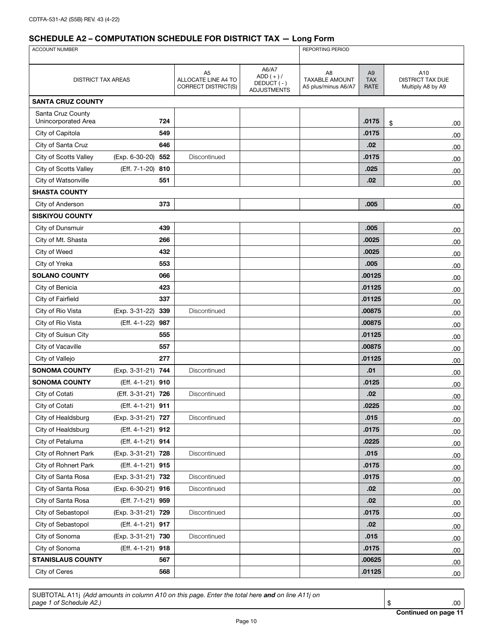| ACCOUNT NUMBER                           |                       |                                                              |                                                         | <b>REPORTING PERIOD</b>                            |                                      |                                                     |  |
|------------------------------------------|-----------------------|--------------------------------------------------------------|---------------------------------------------------------|----------------------------------------------------|--------------------------------------|-----------------------------------------------------|--|
|                                          |                       |                                                              |                                                         |                                                    |                                      |                                                     |  |
| <b>DISTRICT TAX AREAS</b>                |                       | A <sub>5</sub><br>ALLOCATE LINE A4 TO<br>CORRECT DISTRICT(S) | A6/A7<br>$ADD (+) /$<br>DEDUCT(-)<br><b>ADJUSTMENTS</b> | A8<br><b>TAXABLE AMOUNT</b><br>A5 plus/minus A6/A7 | A <sub>9</sub><br><b>TAX</b><br>RATE | A10<br><b>DISTRICT TAX DUE</b><br>Multiply A8 by A9 |  |
| <b>SANTA CRUZ COUNTY</b>                 |                       |                                                              |                                                         |                                                    |                                      |                                                     |  |
| Santa Cruz County<br>Unincorporated Area | 724                   |                                                              |                                                         |                                                    | .0175                                | \$<br>.00.                                          |  |
| City of Capitola                         | 549                   |                                                              |                                                         |                                                    | .0175                                | .00                                                 |  |
| City of Santa Cruz                       | 646                   |                                                              |                                                         |                                                    | .02                                  | .00                                                 |  |
| City of Scotts Valley                    | (Exp. 6-30-20) 552    | Discontinued                                                 |                                                         |                                                    | .0175                                | .00.                                                |  |
| City of Scotts Valley                    | (Eff. 7-1-20) 810     |                                                              |                                                         |                                                    | .025                                 | .00                                                 |  |
| City of Watsonville                      | 551                   |                                                              |                                                         |                                                    | .02                                  | .00.                                                |  |
| <b>SHASTA COUNTY</b>                     |                       |                                                              |                                                         |                                                    |                                      |                                                     |  |
| City of Anderson                         | 373                   |                                                              |                                                         |                                                    | .005                                 | .00                                                 |  |
| <b>SISKIYOU COUNTY</b>                   |                       |                                                              |                                                         |                                                    |                                      |                                                     |  |
| City of Dunsmuir                         | 439                   |                                                              |                                                         |                                                    | .005                                 | .00                                                 |  |
| City of Mt. Shasta                       | 266                   |                                                              |                                                         |                                                    | .0025                                | .00.                                                |  |
| City of Weed                             | 432                   |                                                              |                                                         |                                                    | .0025                                | .00.                                                |  |
| City of Yreka                            | 553                   |                                                              |                                                         |                                                    | .005                                 | .00                                                 |  |
| <b>SOLANO COUNTY</b>                     | 066                   |                                                              |                                                         |                                                    | .00125                               | .00.                                                |  |
| City of Benicia                          | 423                   |                                                              |                                                         |                                                    | .01125                               | .00                                                 |  |
| City of Fairfield                        | 337                   |                                                              |                                                         |                                                    | .01125                               | .00                                                 |  |
| City of Rio Vista                        | (Exp. 3-31-22)<br>339 | Discontinued                                                 |                                                         |                                                    | .00875                               | .00.                                                |  |
| City of Rio Vista                        | (Eff. 4-1-22)<br>987  |                                                              |                                                         |                                                    | .00875                               | .00.                                                |  |
| City of Suisun City                      | 555                   |                                                              |                                                         |                                                    | .01125                               | .00.                                                |  |
| City of Vacaville                        | 557                   |                                                              |                                                         |                                                    | .00875                               | .00                                                 |  |
| City of Vallejo                          | 277                   |                                                              |                                                         |                                                    | .01125                               | .00                                                 |  |
| <b>SONOMA COUNTY</b>                     | (Exp. 3-31-21) 744    | Discontinued                                                 |                                                         |                                                    | .01                                  | .00.                                                |  |
| <b>SONOMA COUNTY</b>                     | (Eff. 4-1-21) 910     |                                                              |                                                         |                                                    | .0125                                | .00.                                                |  |
| City of Cotati                           | (Eff. 3-31-21) 726    | Discontinued                                                 |                                                         |                                                    | .02                                  | .00.                                                |  |
| City of Cotati                           | (Eff. 4-1-21) 911     |                                                              |                                                         |                                                    | .0225                                | .00                                                 |  |
| City of Healdsburg                       | (Exp. 3-31-21) 727    | Discontinued                                                 |                                                         |                                                    | .015                                 | .00                                                 |  |
| City of Healdsburg                       | (Eff. 4-1-21) 912     |                                                              |                                                         |                                                    | .0175                                | .00                                                 |  |
| City of Petaluma                         | (Eff. 4-1-21) 914     |                                                              |                                                         |                                                    | .0225                                | .00.                                                |  |
| City of Rohnert Park                     | (Exp. 3-31-21) 728    | Discontinued                                                 |                                                         |                                                    | .015                                 | .00                                                 |  |
| City of Rohnert Park                     | (Eff. 4-1-21) 915     |                                                              |                                                         |                                                    | .0175                                | .00.                                                |  |
| City of Santa Rosa                       | (Exp. 3-31-21) 732    | Discontinued                                                 |                                                         |                                                    | .0175                                | .00                                                 |  |
| City of Santa Rosa                       | (Exp. 6-30-21) 916    | Discontinued                                                 |                                                         |                                                    | .02                                  | .00                                                 |  |
| City of Santa Rosa                       | (Eff. 7-1-21) 959     |                                                              |                                                         |                                                    | .02                                  | .00.                                                |  |
| City of Sebastopol                       | (Exp. 3-31-21) 729    | Discontinued                                                 |                                                         |                                                    | .0175                                | .00.                                                |  |
| City of Sebastopol                       | (Eff. 4-1-21) 917     |                                                              |                                                         |                                                    | .02                                  | .00.                                                |  |
| City of Sonoma                           | (Exp. 3-31-21) 730    | Discontinued                                                 |                                                         |                                                    | .015                                 | .00                                                 |  |
| City of Sonoma                           | (Eff. 4-1-21) 918     |                                                              |                                                         |                                                    | .0175                                | .00                                                 |  |
| <b>STANISLAUS COUNTY</b>                 | 567                   |                                                              |                                                         |                                                    | .00625                               | .00                                                 |  |
| City of Ceres                            | 568                   |                                                              |                                                         |                                                    | .01125                               | .00.                                                |  |

SUBTOTAL A11j *(Add amounts in column A10 on this page. Enter the total here and on line A11j on page 1 of Schedule A2.)* \$ .00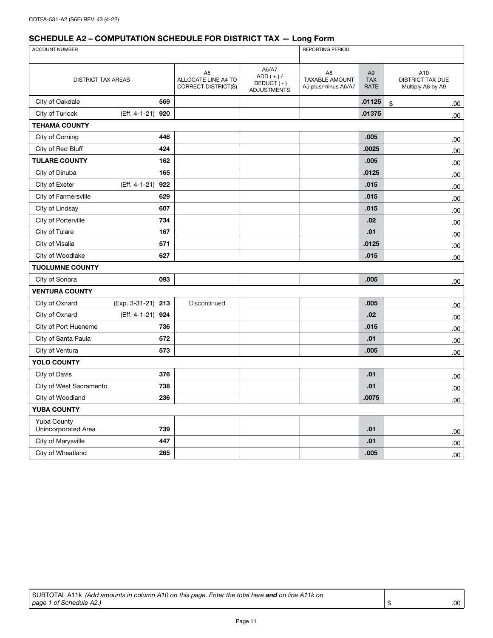| <b>ACCOUNT NUMBER</b>                     |                      |                                                              |                                                         | <b>REPORTING PERIOD</b>                                        |                                      |                                              |  |
|-------------------------------------------|----------------------|--------------------------------------------------------------|---------------------------------------------------------|----------------------------------------------------------------|--------------------------------------|----------------------------------------------|--|
|                                           |                      |                                                              |                                                         |                                                                |                                      |                                              |  |
| <b>DISTRICT TAX AREAS</b>                 |                      | A <sub>5</sub><br>ALLOCATE LINE A4 TO<br>CORRECT DISTRICT(S) | A6/A7<br>$ADD (+)/$<br>DEDUCT (-)<br><b>ADJUSTMENTS</b> | A <sub>8</sub><br><b>TAXABLE AMOUNT</b><br>A5 plus/minus A6/A7 | A <sub>9</sub><br><b>TAX</b><br>RATE | A10<br>DISTRICT TAX DUE<br>Multiply A8 by A9 |  |
| City of Oakdale                           | 569                  |                                                              |                                                         |                                                                | .01125                               | \$<br>.00                                    |  |
| City of Turlock                           | (Eff. 4-1-21)<br>920 |                                                              |                                                         |                                                                | .01375                               | .00                                          |  |
| <b>TEHAMA COUNTY</b>                      |                      |                                                              |                                                         |                                                                |                                      |                                              |  |
| City of Corning                           | 446                  |                                                              |                                                         |                                                                | .005                                 | .00                                          |  |
| City of Red Bluff                         | 424                  |                                                              |                                                         |                                                                | .0025                                | .00                                          |  |
| <b>TULARE COUNTY</b>                      | 162                  |                                                              |                                                         |                                                                | .005                                 | .00                                          |  |
| City of Dinuba                            | 165                  |                                                              |                                                         |                                                                | .0125                                | .00                                          |  |
| City of Exeter                            | (Eff. 4-1-21)<br>922 |                                                              |                                                         |                                                                | .015                                 | .00                                          |  |
| City of Farmersville                      | 629                  |                                                              |                                                         |                                                                | .015                                 | .00                                          |  |
| City of Lindsay                           | 607                  |                                                              |                                                         |                                                                | .015                                 | .00                                          |  |
| City of Porterville                       | 734                  |                                                              |                                                         |                                                                | .02                                  | .00                                          |  |
| City of Tulare                            | 167                  |                                                              |                                                         |                                                                | .01                                  | .00                                          |  |
| City of Visalia                           | 571                  |                                                              |                                                         |                                                                | .0125                                | .00                                          |  |
| City of Woodlake                          | 627                  |                                                              |                                                         |                                                                | .015                                 | .00                                          |  |
| <b>TUOLUMNE COUNTY</b>                    |                      |                                                              |                                                         |                                                                |                                      |                                              |  |
| City of Sonora                            | 093                  |                                                              |                                                         |                                                                | .005                                 | .00                                          |  |
| <b>VENTURA COUNTY</b>                     |                      |                                                              |                                                         |                                                                |                                      |                                              |  |
| City of Oxnard                            | (Exp. 3-31-21) 213   | Discontinued                                                 |                                                         |                                                                | .005                                 | .00                                          |  |
| City of Oxnard                            | (Eff. 4-1-21)<br>924 |                                                              |                                                         |                                                                | .02                                  | .00                                          |  |
| City of Port Hueneme                      | 736                  |                                                              |                                                         |                                                                | .015                                 | .00.                                         |  |
| City of Santa Paula                       | 572                  |                                                              |                                                         |                                                                | .01                                  | .00.                                         |  |
| City of Ventura                           | 573                  |                                                              |                                                         |                                                                | .005                                 | 00.                                          |  |
| <b>YOLO COUNTY</b>                        |                      |                                                              |                                                         |                                                                |                                      |                                              |  |
| City of Davis                             | 376                  |                                                              |                                                         |                                                                | .01                                  | .00.                                         |  |
| City of West Sacramento                   | 738                  |                                                              |                                                         |                                                                | .01                                  | .00                                          |  |
| City of Woodland                          | 236                  |                                                              |                                                         |                                                                | .0075                                | .00                                          |  |
| <b>YUBA COUNTY</b>                        |                      |                                                              |                                                         |                                                                |                                      |                                              |  |
| <b>Yuba County</b><br>Unincorporated Area | 739                  |                                                              |                                                         |                                                                | .01                                  | .00                                          |  |
| City of Marysville                        | 447                  |                                                              |                                                         |                                                                | .01                                  | .00                                          |  |
| City of Wheatland                         | 265                  |                                                              |                                                         |                                                                | .005                                 | .00                                          |  |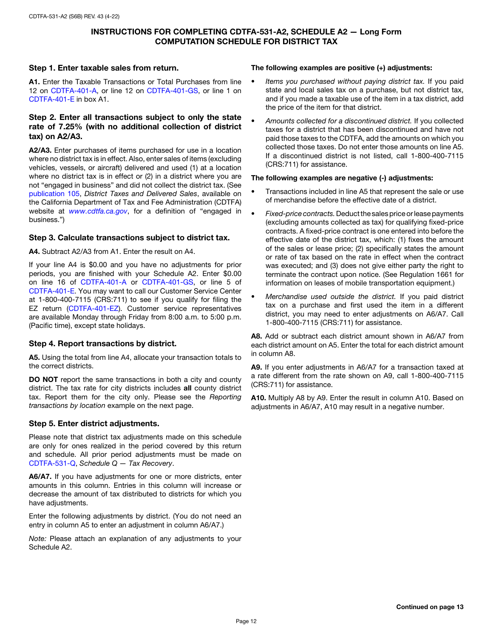#### INSTRUCTIONS FOR COMPLETING CDTFA-531-A2, SCHEDULE A2 — Long Form COMPUTATION SCHEDULE FOR DISTRICT TAX

#### Step 1. Enter taxable sales from return.

A1. Enter the Taxable Transactions or Total Purchases from line 12 on [CDTFA-401-A](http://www.cdtfa.ca.gov/DownloadFile.ashx?path=/formspubs/cdtfa401a.pdf), or line 12 on [CDTFA-401-GS](http://www.cdtfa.ca.gov/DownloadFile.ashx?path=/formspubs/cdtfa401gs.pdf), or line 1 on [CDTFA-401-E](http://www.cdtfa.ca.gov/DownloadFile.ashx?path=/formspubs/cdtfa401e.pdf) in box A1.

#### Step 2. Enter all transactions subject to only the state rate of 7.25% (with no additional collection of district tax) on A2/A3.

A2/A3. Enter purchases of items purchased for use in a location where no district tax is in effect. Also, enter sales of items (excluding vehicles, vessels, or aircraft) delivered and used (1) at a location where no district tax is in effect or (2) in a district where you are not "engaged in business" and did not collect the district tax. (See [publication 105,](http://www.cdtfa.ca.gov/formspubs/pub105) *District Taxes and Delivered Sales*, available on the California Department of Tax and Fee Administration (CDTFA) website at *[www.cdtfa.ca.gov](http://www.cdtfa.ca.gov)*, for a definition of "engaged in business.")

### Step 3. Calculate transactions subject to district tax.

A4. Subtract A2/A3 from A1. Enter the result on A4.

If your line A4 is \$0.00 and you have no adjustments for prior periods, you are finished with your Schedule A2. Enter \$0.00 on line 16 of [CDTFA-401-A](http://www.cdtfa.ca.gov/DownloadFile.ashx?path=/formspubs/cdtfa401a.pdf) or [CDTFA-401-GS](http://www.cdtfa.ca.gov/DownloadFile.ashx?path=/formspubs/cdtfa401gs.pdf), or line 5 of [CDTFA-401-E.](http://www.cdtfa.ca.gov/DownloadFile.ashx?path=/formspubs/cdtfa401e.pdf) You may want to call our Customer Service Center at 1-800-400-7115 (CRS:711) to see if you qualify for filing the EZ return [\(CDTFA-401-EZ](http://www.cdtfa.ca.gov/DownloadFile.ashx?path=/formspubs/cdtfa401ez.pdf)). Customer service representatives are available Monday through Friday from 8:00 a.m. to 5:00 p.m. (Pacific time), except state holidays.

#### Step 4. Report transactions by district.

A5. Using the total from line A4, allocate your transaction totals to the correct districts.

DO NOT report the same transactions in both a city and county district. The tax rate for city districts includes all county district tax. Report them for the city only. Please see the *Reporting transactions by location* example on the next page.

#### Step 5. Enter district adjustments.

Please note that district tax adjustments made on this schedule are only for ones realized in the period covered by this return and schedule. All prior period adjustments must be made on [CDTFA-531-Q,](http://www.cdtfa.ca.gov/DownloadFile.ashx?path=/formspubs/cdtfa531q.pdf) *Schedule Q — Tax Recovery*.

A6/A7. If you have adjustments for one or more districts, enter amounts in this column. Entries in this column will increase or decrease the amount of tax distributed to districts for which you have adjustments.

Enter the following adjustments by district. (You do not need an entry in column A5 to enter an adjustment in column A6/A7.)

*Note:* Please attach an explanation of any adjustments to your Schedule A2.

#### The following examples are positive (+) adjustments:

- *Items you purchased without paying district tax.* If you paid state and local sales tax on a purchase, but not district tax, and if you made a taxable use of the item in a tax district, add the price of the item for that district.
- *Amounts collected for a discontinued district.* If you collected taxes for a district that has been discontinued and have not paid those taxes to the CDTFA, add the amounts on which you collected those taxes. Do not enter those amounts on line A5. If a discontinued district is not listed, call 1-800-400-7115 (CRS:711) for assistance.

#### The following examples are negative (-) adjustments:

- Transactions included in line A5 that represent the sale or use of merchandise before the effective date of a district.
- *Fixed-price contracts.* Deduct the sales price or lease payments (excluding amounts collected as tax) for qualifying fixed-price contracts. A fixed-price contract is one entered into before the effective date of the district tax, which: (1) fixes the amount of the sales or lease price; (2) specifically states the amount or rate of tax based on the rate in effect when the contract was executed; and (3) does not give either party the right to terminate the contract upon notice. (See Regulation 1661 for information on leases of mobile transportation equipment.)
- *Merchandise used outside the district.* If you paid district tax on a purchase and first used the item in a different district, you may need to enter adjustments on A6/A7. Call 1-800-400-7115 (CRS:711) for assistance.

A8. Add or subtract each district amount shown in A6/A7 from each district amount on A5. Enter the total for each district amount in column A8.

A9. If you enter adjustments in A6/A7 for a transaction taxed at a rate different from the rate shown on A9, call 1-800-400-7115 (CRS:711) for assistance.

A10. Multiply A8 by A9. Enter the result in column A10. Based on adjustments in A6/A7, A10 may result in a negative number.